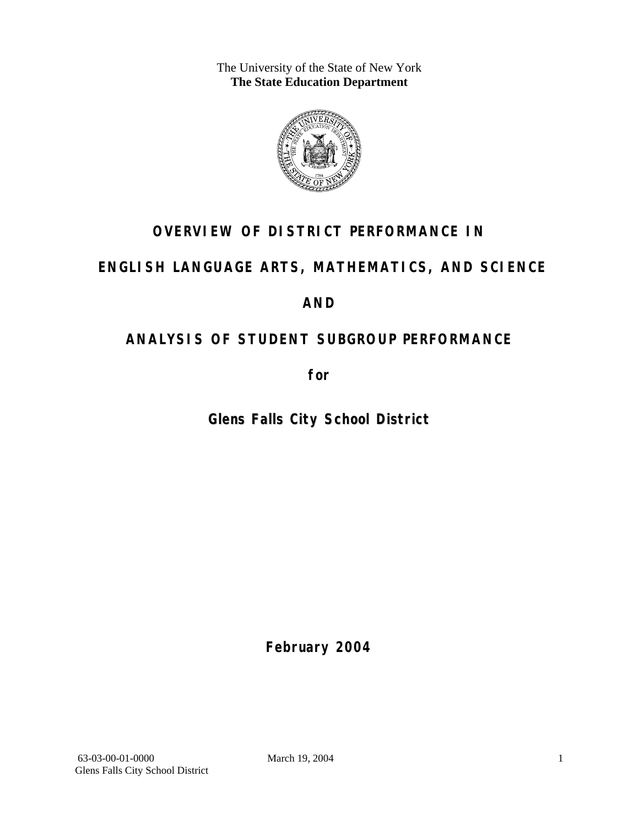The University of the State of New York **The State Education Department** 



# **OVERVIEW OF DISTRICT PERFORMANCE IN**

# **ENGLISH LANGUAGE ARTS, MATHEMATICS, AND SCIENCE**

# **AND**

# **ANALYSIS OF STUDENT SUBGROUP PERFORMANCE**

**for** 

**Glens Falls City School District**

**February 2004**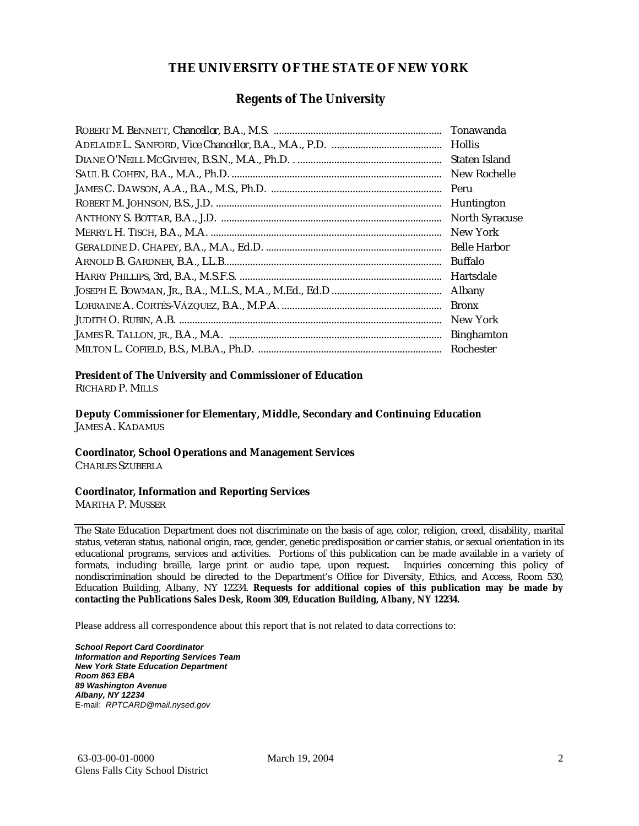#### **THE UNIVERSITY OF THE STATE OF NEW YORK**

#### **Regents of The University**

| Tonawanda             |
|-----------------------|
| <b>Hollis</b>         |
| Staten Island         |
| New Rochelle          |
| Peru                  |
| Huntington            |
| <b>North Syracuse</b> |
| New York              |
| <b>Belle Harbor</b>   |
| Buffalo               |
| Hartsdale             |
| Albany                |
| <b>Bronx</b>          |
| New York              |
| <b>Binghamton</b>     |
| Rochester             |

#### **President of The University and Commissioner of Education**

RICHARD P. MILLS

**Deputy Commissioner for Elementary, Middle, Secondary and Continuing Education**  JAMES A. KADAMUS

#### **Coordinator, School Operations and Management Services**

CHARLES SZUBERLA

#### **Coordinator, Information and Reporting Services**

MARTHA P. MUSSER

The State Education Department does not discriminate on the basis of age, color, religion, creed, disability, marital status, veteran status, national origin, race, gender, genetic predisposition or carrier status, or sexual orientation in its educational programs, services and activities. Portions of this publication can be made available in a variety of formats, including braille, large print or audio tape, upon request. Inquiries concerning this policy of nondiscrimination should be directed to the Department's Office for Diversity, Ethics, and Access, Room 530, Education Building, Albany, NY 12234. **Requests for additional copies of this publication may be made by contacting the Publications Sales Desk, Room 309, Education Building, Albany, NY 12234.** 

Please address all correspondence about this report that is not related to data corrections to:

*School Report Card Coordinator Information and Reporting Services Team New York State Education Department Room 863 EBA 89 Washington Avenue Albany, NY 12234*  E-mail: *RPTCARD@mail.nysed.gov*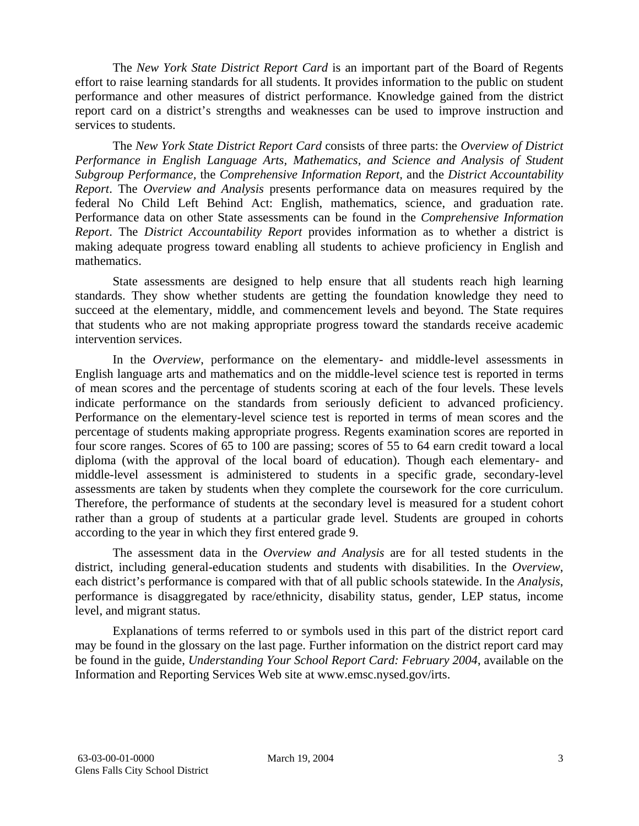The *New York State District Report Card* is an important part of the Board of Regents effort to raise learning standards for all students. It provides information to the public on student performance and other measures of district performance. Knowledge gained from the district report card on a district's strengths and weaknesses can be used to improve instruction and services to students.

The *New York State District Report Card* consists of three parts: the *Overview of District Performance in English Language Arts, Mathematics, and Science and Analysis of Student Subgroup Performance,* the *Comprehensive Information Report,* and the *District Accountability Report*. The *Overview and Analysis* presents performance data on measures required by the federal No Child Left Behind Act: English, mathematics, science, and graduation rate. Performance data on other State assessments can be found in the *Comprehensive Information Report*. The *District Accountability Report* provides information as to whether a district is making adequate progress toward enabling all students to achieve proficiency in English and mathematics.

State assessments are designed to help ensure that all students reach high learning standards. They show whether students are getting the foundation knowledge they need to succeed at the elementary, middle, and commencement levels and beyond. The State requires that students who are not making appropriate progress toward the standards receive academic intervention services.

In the *Overview*, performance on the elementary- and middle-level assessments in English language arts and mathematics and on the middle-level science test is reported in terms of mean scores and the percentage of students scoring at each of the four levels. These levels indicate performance on the standards from seriously deficient to advanced proficiency. Performance on the elementary-level science test is reported in terms of mean scores and the percentage of students making appropriate progress. Regents examination scores are reported in four score ranges. Scores of 65 to 100 are passing; scores of 55 to 64 earn credit toward a local diploma (with the approval of the local board of education). Though each elementary- and middle-level assessment is administered to students in a specific grade, secondary-level assessments are taken by students when they complete the coursework for the core curriculum. Therefore, the performance of students at the secondary level is measured for a student cohort rather than a group of students at a particular grade level. Students are grouped in cohorts according to the year in which they first entered grade 9.

The assessment data in the *Overview and Analysis* are for all tested students in the district, including general-education students and students with disabilities. In the *Overview*, each district's performance is compared with that of all public schools statewide. In the *Analysis*, performance is disaggregated by race/ethnicity, disability status, gender, LEP status, income level, and migrant status.

Explanations of terms referred to or symbols used in this part of the district report card may be found in the glossary on the last page. Further information on the district report card may be found in the guide, *Understanding Your School Report Card: February 2004*, available on the Information and Reporting Services Web site at www.emsc.nysed.gov/irts.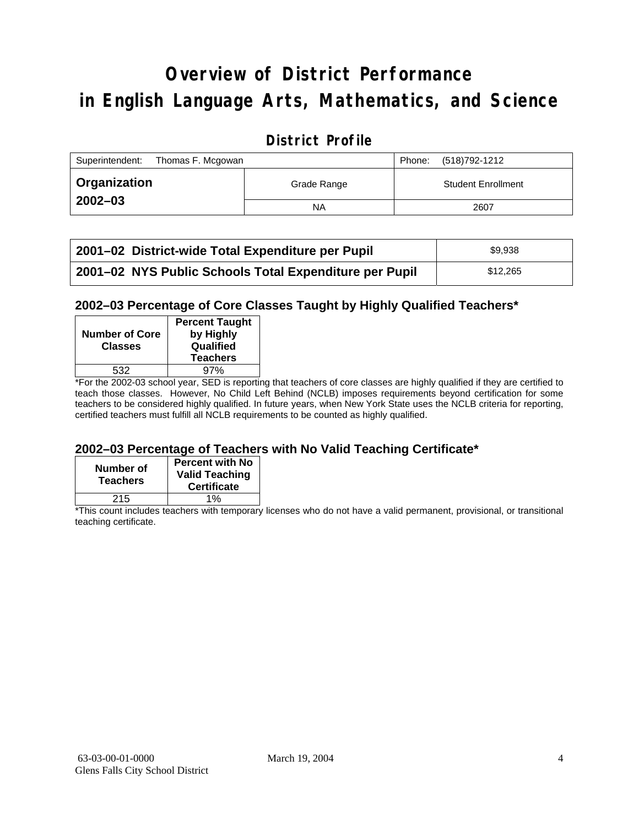# **Overview of District Performance in English Language Arts, Mathematics, and Science**

## **District Profile**

| Superintendent:<br>Thomas F. Mcgowan |             | Phone: | (518)792-1212             |
|--------------------------------------|-------------|--------|---------------------------|
| ∣ Organization                       | Grade Range |        | <b>Student Enrollment</b> |
| $2002 - 03$                          | <b>NA</b>   |        | 2607                      |

| 2001–02 District-wide Total Expenditure per Pupil      | \$9.938  |
|--------------------------------------------------------|----------|
| 2001-02 NYS Public Schools Total Expenditure per Pupil | \$12.265 |

#### **2002–03 Percentage of Core Classes Taught by Highly Qualified Teachers\***

| <b>Number of Core</b><br><b>Classes</b> | <b>Percent Taught</b><br>by Highly<br>Qualified<br><b>Teachers</b> |
|-----------------------------------------|--------------------------------------------------------------------|
| 532                                     | 97%                                                                |
|                                         |                                                                    |

\*For the 2002-03 school year, SED is reporting that teachers of core classes are highly qualified if they are certified to teach those classes. However, No Child Left Behind (NCLB) imposes requirements beyond certification for some teachers to be considered highly qualified. In future years, when New York State uses the NCLB criteria for reporting, certified teachers must fulfill all NCLB requirements to be counted as highly qualified.

#### **2002–03 Percentage of Teachers with No Valid Teaching Certificate\***

| Number of<br><b>Teachers</b> | <b>Percent with No</b><br><b>Valid Teaching</b><br><b>Certificate</b> |
|------------------------------|-----------------------------------------------------------------------|
| 215                          | 1%                                                                    |

\*This count includes teachers with temporary licenses who do not have a valid permanent, provisional, or transitional teaching certificate.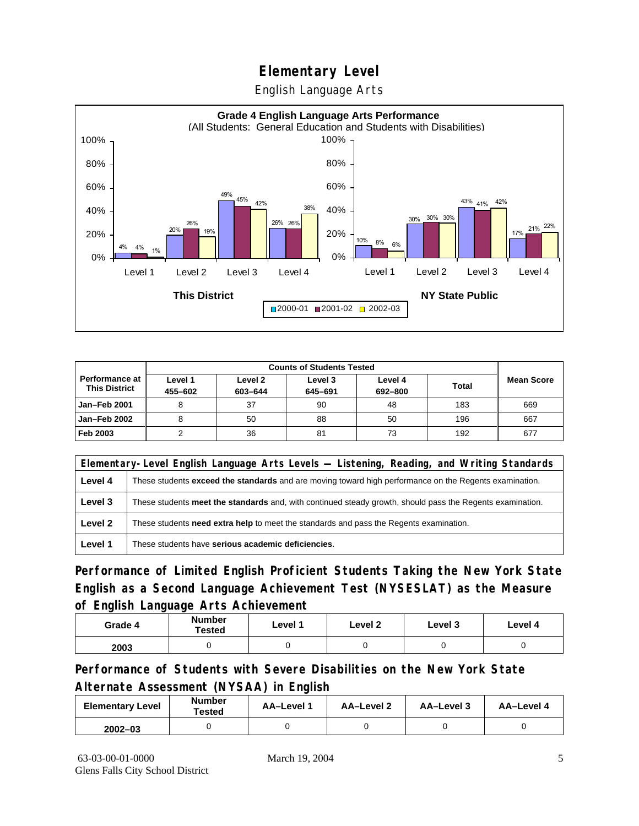English Language Arts



| <b>Counts of Students Tested</b>              |                    |                    |                    |                    |              |                   |
|-----------------------------------------------|--------------------|--------------------|--------------------|--------------------|--------------|-------------------|
| <b>Performance at</b><br><b>This District</b> | Level 1<br>455-602 | Level 2<br>603-644 | Level 3<br>645-691 | Level 4<br>692-800 | <b>Total</b> | <b>Mean Score</b> |
| Jan-Feb 2001                                  |                    | 37                 | 90                 | 48                 | 183          | 669               |
| Jan-Feb 2002                                  |                    | 50                 | 88                 | 50                 | 196          | 667               |
| Feb 2003                                      |                    | 36                 | 81                 | 73                 | 192          | 677               |

|         | Elementary-Level English Language Arts Levels — Listening, Reading, and Writing Standards                     |  |  |  |  |  |
|---------|---------------------------------------------------------------------------------------------------------------|--|--|--|--|--|
| Level 4 | These students <b>exceed the standards</b> and are moving toward high performance on the Regents examination. |  |  |  |  |  |
| Level 3 | These students meet the standards and, with continued steady growth, should pass the Regents examination.     |  |  |  |  |  |
| Level 2 | These students <b>need extra help</b> to meet the standards and pass the Regents examination.                 |  |  |  |  |  |
| Level 1 | These students have serious academic deficiencies.                                                            |  |  |  |  |  |

**Performance of Limited English Proficient Students Taking the New York State English as a Second Language Achievement Test (NYSESLAT) as the Measure of English Language Arts Achievement**

| Grade 4 | <b>Number</b><br><b>Tested</b> | Level 1 | Level 2 | Level 3 | Level 4 |
|---------|--------------------------------|---------|---------|---------|---------|
| 2003    |                                |         |         |         |         |

**Performance of Students with Severe Disabilities on the New York State Alternate Assessment (NYSAA) in English** 

| <b>Elementary Level</b> | <b>Number</b><br>Tested | AA-Level | AA-Level 2 | AA-Level 3 | AA-Level 4 |
|-------------------------|-------------------------|----------|------------|------------|------------|
| $2002 - 03$             |                         |          |            |            |            |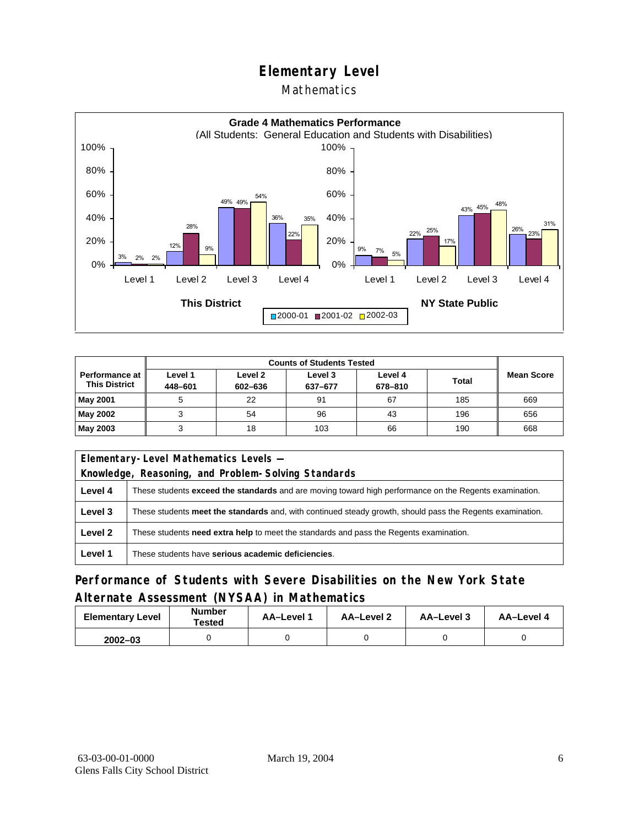#### **Mathematics**



| <b>Counts of Students Tested</b>         |                    |                    |                    |                    |              |            |
|------------------------------------------|--------------------|--------------------|--------------------|--------------------|--------------|------------|
| Performance at I<br><b>This District</b> | Level 1<br>448-601 | Level 2<br>602-636 | Level 3<br>637-677 | Level 4<br>678-810 | <b>Total</b> | Mean Score |
| May 2001                                 |                    | 22                 | 91                 | 67                 | 185          | 669        |
| May 2002                                 |                    | 54                 | 96                 | 43                 | 196          | 656        |
| May 2003                                 |                    | 18                 | 103                | 66                 | 190          | 668        |

|         | Elementary-Level Mathematics Levels -                                                                         |  |  |  |  |
|---------|---------------------------------------------------------------------------------------------------------------|--|--|--|--|
|         | Knowledge, Reasoning, and Problem-Solving Standards                                                           |  |  |  |  |
| Level 4 | These students <b>exceed the standards</b> and are moving toward high performance on the Regents examination. |  |  |  |  |
| Level 3 | These students meet the standards and, with continued steady growth, should pass the Regents examination.     |  |  |  |  |
| Level 2 | These students need extra help to meet the standards and pass the Regents examination.                        |  |  |  |  |
| Level 1 | These students have serious academic deficiencies.                                                            |  |  |  |  |

## **Performance of Students with Severe Disabilities on the New York State Alternate Assessment (NYSAA) in Mathematics**

| <b>Elementary Level</b> | <b>Number</b><br>Tested | AA-Level 1 | AA-Level 2 | AA-Level 3 | AA-Level 4 |
|-------------------------|-------------------------|------------|------------|------------|------------|
| $2002 - 03$             |                         |            |            |            |            |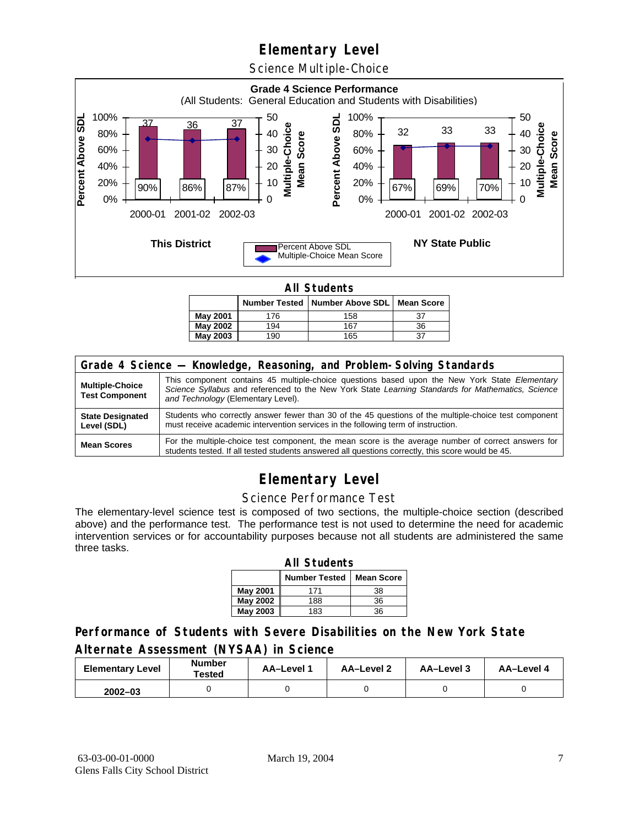Science Multiple-Choice



**All Students** 

|          |     | Number Tested   Number Above SDL   Mean Score |    |
|----------|-----|-----------------------------------------------|----|
| May 2001 | 176 | 158                                           | 37 |
| May 2002 | 194 | 167                                           | 36 |
| May 2003 | 190 | 165                                           | 37 |

| Grade 4 Science - Knowledge, Reasoning, and Problem-Solving Standards |                                                                                                                                                                                                                                          |  |  |  |  |
|-----------------------------------------------------------------------|------------------------------------------------------------------------------------------------------------------------------------------------------------------------------------------------------------------------------------------|--|--|--|--|
| <b>Multiple-Choice</b><br><b>Test Component</b>                       | This component contains 45 multiple-choice questions based upon the New York State Elementary<br>Science Syllabus and referenced to the New York State Learning Standards for Mathematics, Science<br>and Technology (Elementary Level). |  |  |  |  |
| <b>State Designated</b><br>Level (SDL)                                | Students who correctly answer fewer than 30 of the 45 questions of the multiple-choice test component<br>must receive academic intervention services in the following term of instruction.                                               |  |  |  |  |
| <b>Mean Scores</b>                                                    | For the multiple-choice test component, the mean score is the average number of correct answers for<br>students tested. If all tested students answered all questions correctly, this score would be 45.                                 |  |  |  |  |

# **Elementary Level**

#### Science Performance Test

The elementary-level science test is composed of two sections, the multiple-choice section (described above) and the performance test. The performance test is not used to determine the need for academic intervention services or for accountability purposes because not all students are administered the same three tasks.

| <b>All Students</b>                       |     |    |  |  |  |  |
|-------------------------------------------|-----|----|--|--|--|--|
| <b>Number Tested</b><br><b>Mean Score</b> |     |    |  |  |  |  |
| May 2001                                  | 171 | 38 |  |  |  |  |
| May 2002                                  | 188 | 36 |  |  |  |  |
| <b>May 2003</b><br>36<br>183              |     |    |  |  |  |  |

### **Performance of Students with Severe Disabilities on the New York State Alternate Assessment (NYSAA) in Science**

| <b>Elementary Level</b> | <b>Number</b><br>Tested | AA-Level | <b>AA-Level 2</b> | AA-Level 3 | AA-Level 4 |
|-------------------------|-------------------------|----------|-------------------|------------|------------|
| $2002 - 03$             |                         |          |                   |            |            |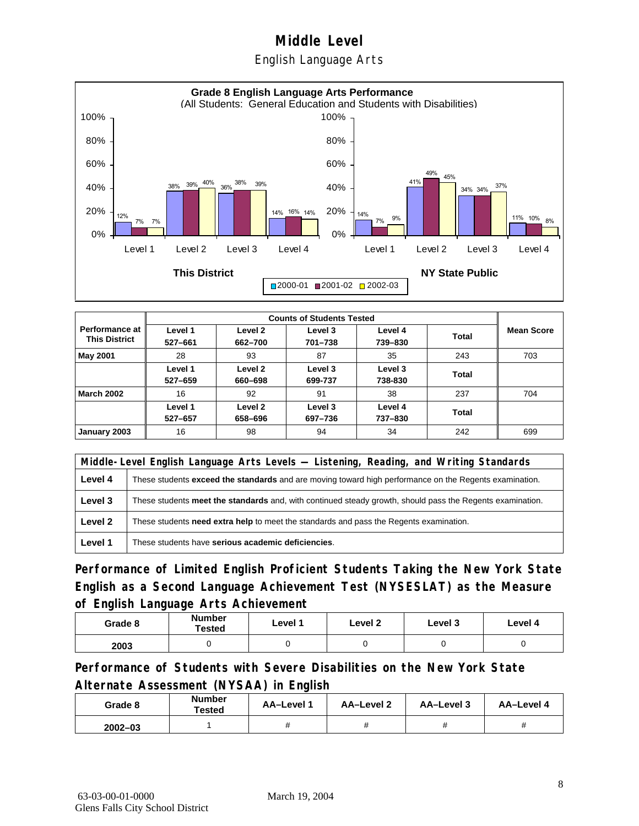English Language Arts



|                                               |                    | <b>Counts of Students Tested</b> |                    |                    |       |                   |  |  |
|-----------------------------------------------|--------------------|----------------------------------|--------------------|--------------------|-------|-------------------|--|--|
| <b>Performance at</b><br><b>This District</b> | Level 1<br>527-661 | Level 2<br>662-700               | Level 3<br>701-738 | Level 4<br>739-830 | Total | <b>Mean Score</b> |  |  |
| May 2001                                      | 28                 | 93                               | 87                 | 35                 | 243   | 703               |  |  |
|                                               | Level 1<br>527-659 | Level 2<br>660-698               | Level 3<br>699-737 | Level 3<br>738-830 | Total |                   |  |  |
| <b>March 2002</b>                             | 16                 | 92                               | 91                 | 38                 | 237   | 704               |  |  |
|                                               | Level 1<br>527-657 | Level 2<br>658-696               | Level 3<br>697-736 | Level 4<br>737-830 | Total |                   |  |  |
| January 2003                                  | 16                 | 98                               | 94                 | 34                 | 242   | 699               |  |  |

|         | Middle-Level English Language Arts Levels — Listening, Reading, and Writing Standards                         |  |  |  |  |
|---------|---------------------------------------------------------------------------------------------------------------|--|--|--|--|
| Level 4 | These students <b>exceed the standards</b> and are moving toward high performance on the Regents examination. |  |  |  |  |
| Level 3 | These students meet the standards and, with continued steady growth, should pass the Regents examination.     |  |  |  |  |
| Level 2 | These students <b>need extra help</b> to meet the standards and pass the Regents examination.                 |  |  |  |  |
| Level 1 | These students have serious academic deficiencies.                                                            |  |  |  |  |

**Performance of Limited English Proficient Students Taking the New York State English as a Second Language Achievement Test (NYSESLAT) as the Measure of English Language Arts Achievement**

| Grade 8 | <b>Number</b><br>Tested | Level 1 | Level 2 | Level 3 | Level 4 |
|---------|-------------------------|---------|---------|---------|---------|
| 2003    |                         |         |         |         |         |

**Performance of Students with Severe Disabilities on the New York State Alternate Assessment (NYSAA) in English** 

| Grade 8     | Number<br>Tested | AA-Level 1 | AA-Level 2 | AA-Level 3 | AA-Level 4 |
|-------------|------------------|------------|------------|------------|------------|
| $2002 - 03$ |                  |            |            |            |            |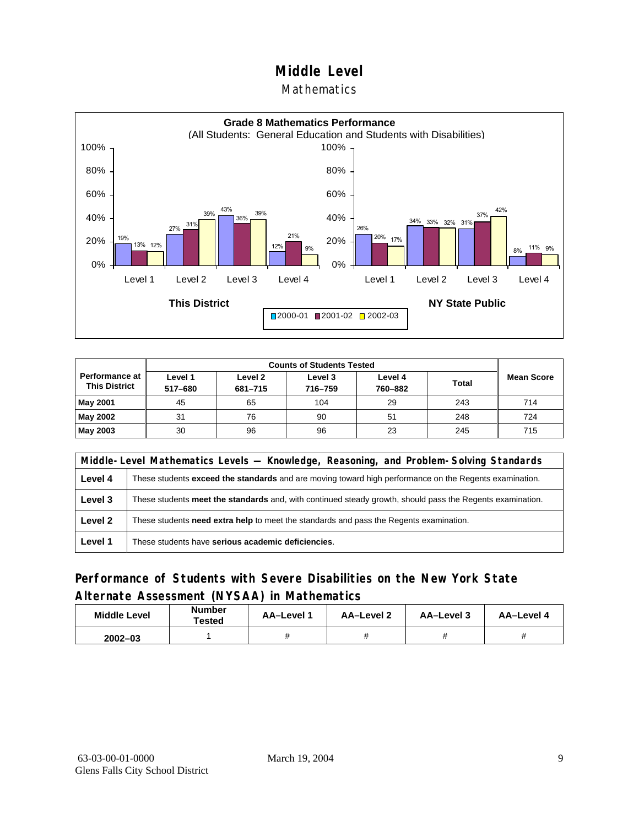#### Mathematics



|                                        |                    | <b>Counts of Students Tested</b> |                    |                    |              |                   |
|----------------------------------------|--------------------|----------------------------------|--------------------|--------------------|--------------|-------------------|
| Performance at<br><b>This District</b> | Level 1<br>517-680 | Level 2<br>681-715               | Level 3<br>716-759 | Level 4<br>760-882 | <b>Total</b> | <b>Mean Score</b> |
| <b>May 2001</b>                        | 45                 | 65                               | 104                | 29                 | 243          | 714               |
| May 2002                               | 31                 | 76                               | 90                 | 51                 | 248          | 724               |
| May 2003                               | 30                 | 96                               | 96                 | 23                 | 245          | 715               |

|         | Middle-Level Mathematics Levels — Knowledge, Reasoning, and Problem-Solving Standards                         |  |  |  |  |
|---------|---------------------------------------------------------------------------------------------------------------|--|--|--|--|
| Level 4 | These students <b>exceed the standards</b> and are moving toward high performance on the Regents examination. |  |  |  |  |
| Level 3 | These students meet the standards and, with continued steady growth, should pass the Regents examination.     |  |  |  |  |
| Level 2 | These students <b>need extra help</b> to meet the standards and pass the Regents examination.                 |  |  |  |  |
| Level 1 | These students have serious academic deficiencies.                                                            |  |  |  |  |

### **Performance of Students with Severe Disabilities on the New York State Alternate Assessment (NYSAA) in Mathematics**

| <b>Middle Level</b> | <b>Number</b><br>Tested | AA-Level | AA-Level 2 | AA-Level 3 | AA-Level 4 |
|---------------------|-------------------------|----------|------------|------------|------------|
| $2002 - 03$         |                         |          |            |            |            |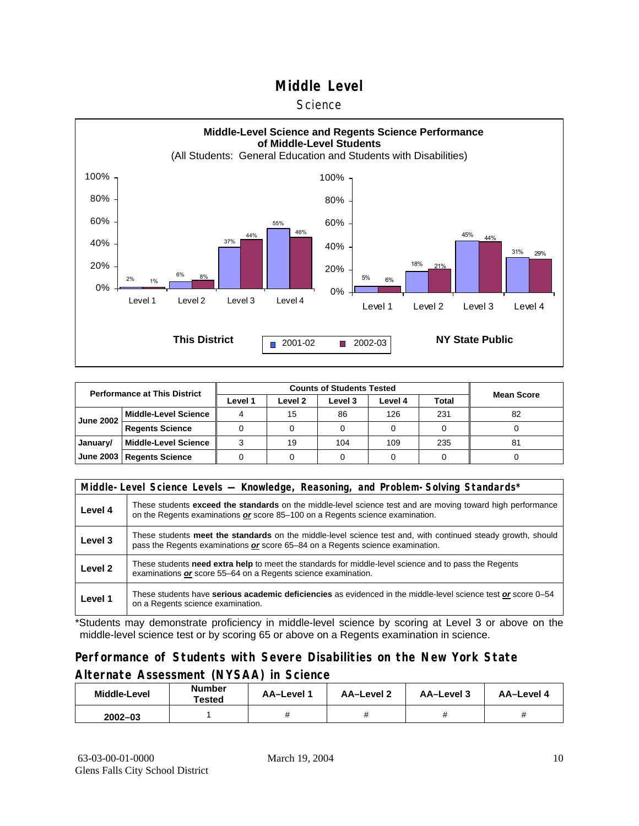#### **Science**



| <b>Performance at This District</b> |                             |         |         |         |         |       |                   |
|-------------------------------------|-----------------------------|---------|---------|---------|---------|-------|-------------------|
|                                     |                             | Level 1 | Level 2 | Level 3 | Level 4 | Total | <b>Mean Score</b> |
| <b>June 2002</b>                    | <b>Middle-Level Science</b> |         | 15      | 86      | 126     | 231   | 82                |
|                                     | <b>Regents Science</b>      |         |         |         |         |       |                   |
| January/                            | <b>Middle-Level Science</b> |         | 19      | 104     | 109     | 235   | 81                |
|                                     | June 2003   Regents Science |         |         |         |         |       |                   |

|         | Middle-Level Science Levels — Knowledge, Reasoning, and Problem-Solving Standards*                                                                                                             |  |  |  |  |  |  |  |
|---------|------------------------------------------------------------------------------------------------------------------------------------------------------------------------------------------------|--|--|--|--|--|--|--|
| Level 4 | These students exceed the standards on the middle-level science test and are moving toward high performance<br>on the Regents examinations or score 85-100 on a Regents science examination.   |  |  |  |  |  |  |  |
| Level 3 | These students meet the standards on the middle-level science test and, with continued steady growth, should<br>pass the Regents examinations or score 65–84 on a Regents science examination. |  |  |  |  |  |  |  |
| Level 2 | These students need extra help to meet the standards for middle-level science and to pass the Regents<br>examinations or score 55-64 on a Regents science examination.                         |  |  |  |  |  |  |  |
| Level 1 | These students have serious academic deficiencies as evidenced in the middle-level science test or score 0–54<br>on a Regents science examination.                                             |  |  |  |  |  |  |  |

\*Students may demonstrate proficiency in middle-level science by scoring at Level 3 or above on the middle-level science test or by scoring 65 or above on a Regents examination in science.

## **Performance of Students with Severe Disabilities on the New York State Alternate Assessment (NYSAA) in Science**

| Middle-Level | Number<br>Tested | <b>AA-Level 1</b> | AA-Level 2 | AA-Level 3 | AA-Level 4 |  |
|--------------|------------------|-------------------|------------|------------|------------|--|
| $2002 - 03$  |                  |                   |            |            |            |  |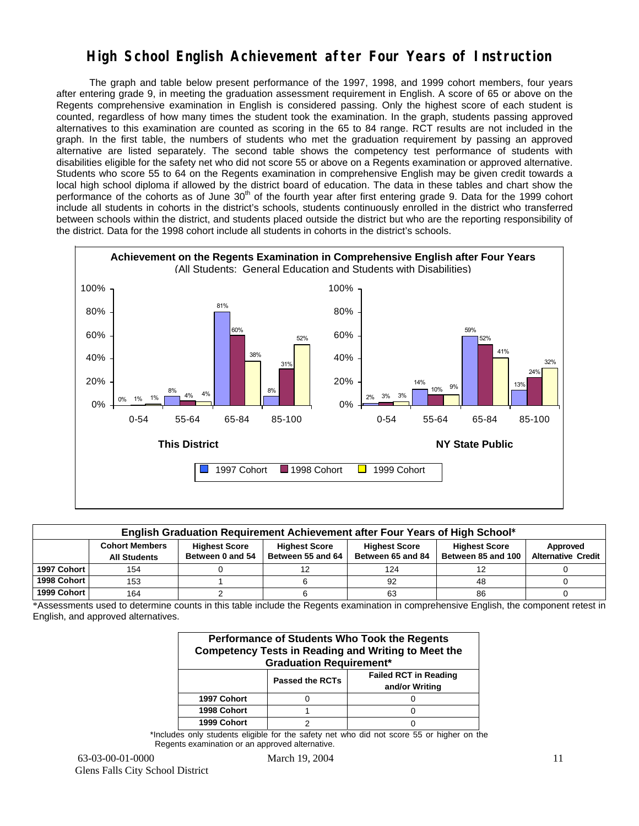## **High School English Achievement after Four Years of Instruction**

 The graph and table below present performance of the 1997, 1998, and 1999 cohort members, four years after entering grade 9, in meeting the graduation assessment requirement in English. A score of 65 or above on the Regents comprehensive examination in English is considered passing. Only the highest score of each student is counted, regardless of how many times the student took the examination. In the graph, students passing approved alternatives to this examination are counted as scoring in the 65 to 84 range. RCT results are not included in the graph. In the first table, the numbers of students who met the graduation requirement by passing an approved alternative are listed separately. The second table shows the competency test performance of students with disabilities eligible for the safety net who did not score 55 or above on a Regents examination or approved alternative. Students who score 55 to 64 on the Regents examination in comprehensive English may be given credit towards a local high school diploma if allowed by the district board of education. The data in these tables and chart show the performance of the cohorts as of June  $30<sup>th</sup>$  of the fourth year after first entering grade 9. Data for the 1999 cohort include all students in cohorts in the district's schools, students continuously enrolled in the district who transferred between schools within the district, and students placed outside the district but who are the reporting responsibility of the district. Data for the 1998 cohort include all students in cohorts in the district's schools.



| English Graduation Requirement Achievement after Four Years of High School* |                                                                                                                                                                                                                                                                           |  |  |     |    |  |  |  |  |  |  |
|-----------------------------------------------------------------------------|---------------------------------------------------------------------------------------------------------------------------------------------------------------------------------------------------------------------------------------------------------------------------|--|--|-----|----|--|--|--|--|--|--|
|                                                                             | <b>Cohort Members</b><br><b>Highest Score</b><br><b>Highest Score</b><br><b>Highest Score</b><br><b>Highest Score</b><br>Approved<br>Between 55 and 64<br><b>Alternative Credit</b><br>Between 85 and 100<br>Between 0 and 54<br>Between 65 and 84<br><b>All Students</b> |  |  |     |    |  |  |  |  |  |  |
| 1997 Cohort                                                                 | 154                                                                                                                                                                                                                                                                       |  |  | 124 |    |  |  |  |  |  |  |
| 1998 Cohort                                                                 | 153                                                                                                                                                                                                                                                                       |  |  | 92  | 48 |  |  |  |  |  |  |
| 1999 Cohort                                                                 | 164                                                                                                                                                                                                                                                                       |  |  | 63  | 86 |  |  |  |  |  |  |

\*Assessments used to determine counts in this table include the Regents examination in comprehensive English, the component retest in English, and approved alternatives.

| Performance of Students Who Took the Regents<br><b>Competency Tests in Reading and Writing to Meet the</b><br><b>Graduation Requirement*</b> |  |  |  |  |  |  |  |  |
|----------------------------------------------------------------------------------------------------------------------------------------------|--|--|--|--|--|--|--|--|
| <b>Failed RCT in Reading</b><br><b>Passed the RCTs</b><br>and/or Writing                                                                     |  |  |  |  |  |  |  |  |
| 1997 Cohort                                                                                                                                  |  |  |  |  |  |  |  |  |
| 1998 Cohort                                                                                                                                  |  |  |  |  |  |  |  |  |
| 1999 Cohort                                                                                                                                  |  |  |  |  |  |  |  |  |

\*Includes only students eligible for the safety net who did not score 55 or higher on the Regents examination or an approved alternative.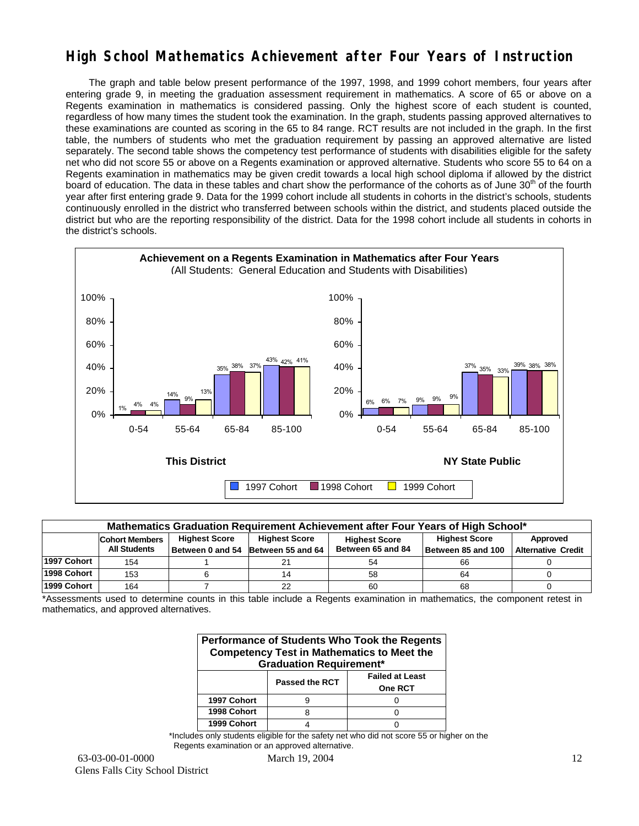## **High School Mathematics Achievement after Four Years of Instruction**

 The graph and table below present performance of the 1997, 1998, and 1999 cohort members, four years after entering grade 9, in meeting the graduation assessment requirement in mathematics. A score of 65 or above on a Regents examination in mathematics is considered passing. Only the highest score of each student is counted, regardless of how many times the student took the examination. In the graph, students passing approved alternatives to these examinations are counted as scoring in the 65 to 84 range. RCT results are not included in the graph. In the first table, the numbers of students who met the graduation requirement by passing an approved alternative are listed separately. The second table shows the competency test performance of students with disabilities eligible for the safety net who did not score 55 or above on a Regents examination or approved alternative. Students who score 55 to 64 on a Regents examination in mathematics may be given credit towards a local high school diploma if allowed by the district board of education. The data in these tables and chart show the performance of the cohorts as of June 30<sup>th</sup> of the fourth year after first entering grade 9. Data for the 1999 cohort include all students in cohorts in the district's schools, students continuously enrolled in the district who transferred between schools within the district, and students placed outside the district but who are the reporting responsibility of the district. Data for the 1998 cohort include all students in cohorts in the district's schools.



| Mathematics Graduation Requirement Achievement after Four Years of High School* |                                                                                                                                   |  |                                    |                   |                    |                           |  |  |  |  |  |
|---------------------------------------------------------------------------------|-----------------------------------------------------------------------------------------------------------------------------------|--|------------------------------------|-------------------|--------------------|---------------------------|--|--|--|--|--|
|                                                                                 | <b>Highest Score</b><br><b>Highest Score</b><br><b>Highest Score</b><br>Approved<br><b>Cohort Members</b><br><b>Highest Score</b> |  |                                    |                   |                    |                           |  |  |  |  |  |
|                                                                                 | <b>All Students</b>                                                                                                               |  | Between 0 and 54 Between 55 and 64 | Between 65 and 84 | Between 85 and 100 | <b>Alternative Credit</b> |  |  |  |  |  |
| 1997 Cohort                                                                     | 154                                                                                                                               |  |                                    | 54                | 66                 |                           |  |  |  |  |  |
| 1998 Cohort                                                                     | 153                                                                                                                               |  |                                    | 58                | 64                 |                           |  |  |  |  |  |
| 1999 Cohort                                                                     | 164                                                                                                                               |  |                                    | 60                | 68                 |                           |  |  |  |  |  |

\*Assessments used to determine counts in this table include a Regents examination in mathematics, the component retest in mathematics, and approved alternatives.

| Performance of Students Who Took the Regents<br><b>Competency Test in Mathematics to Meet the</b><br><b>Graduation Requirement*</b> |                                                            |  |  |  |  |  |  |  |  |
|-------------------------------------------------------------------------------------------------------------------------------------|------------------------------------------------------------|--|--|--|--|--|--|--|--|
|                                                                                                                                     | <b>Failed at Least</b><br><b>Passed the RCT</b><br>One RCT |  |  |  |  |  |  |  |  |
| 1997 Cohort                                                                                                                         |                                                            |  |  |  |  |  |  |  |  |
| 1998 Cohort                                                                                                                         |                                                            |  |  |  |  |  |  |  |  |
| 1999 Cohort                                                                                                                         |                                                            |  |  |  |  |  |  |  |  |

\*Includes only students eligible for the safety net who did not score 55 or higher on the Regents examination or an approved alternative.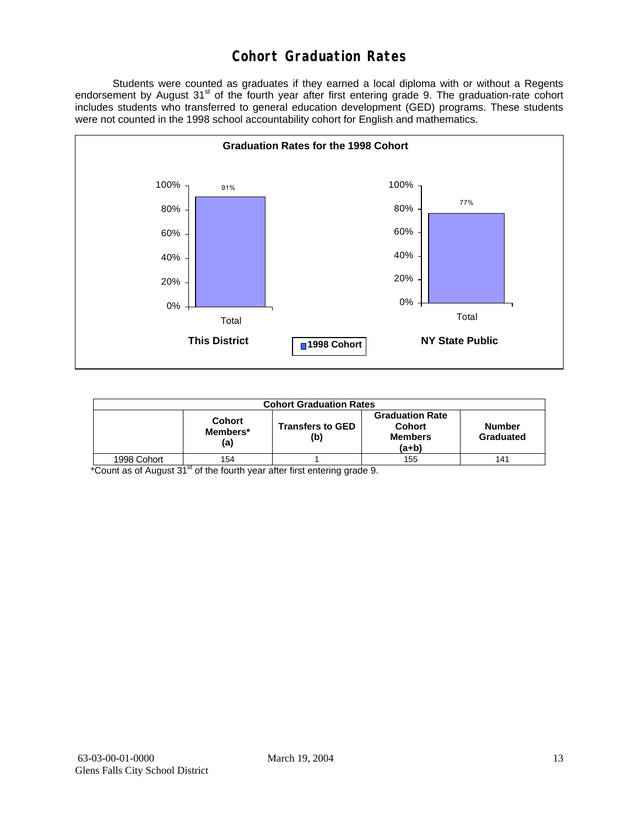## **Cohort Graduation Rates**

 Students were counted as graduates if they earned a local diploma with or without a Regents endorsement by August 31<sup>st</sup> of the fourth year after first entering grade 9. The graduation-rate cohort includes students who transferred to general education development (GED) programs. These students were not counted in the 1998 school accountability cohort for English and mathematics.



| <b>Cohort Graduation Rates</b> |                                  |                                |                                                             |                            |  |  |  |  |  |
|--------------------------------|----------------------------------|--------------------------------|-------------------------------------------------------------|----------------------------|--|--|--|--|--|
|                                | <b>Cohort</b><br>Members*<br>(a) | <b>Transfers to GED</b><br>(b) | <b>Graduation Rate</b><br>Cohort<br><b>Members</b><br>(a+b) | <b>Number</b><br>Graduated |  |  |  |  |  |
| 1998 Cohort                    | 154                              |                                | 155                                                         | 141                        |  |  |  |  |  |

\*Count as of August 31<sup>st</sup> of the fourth year after first entering grade 9.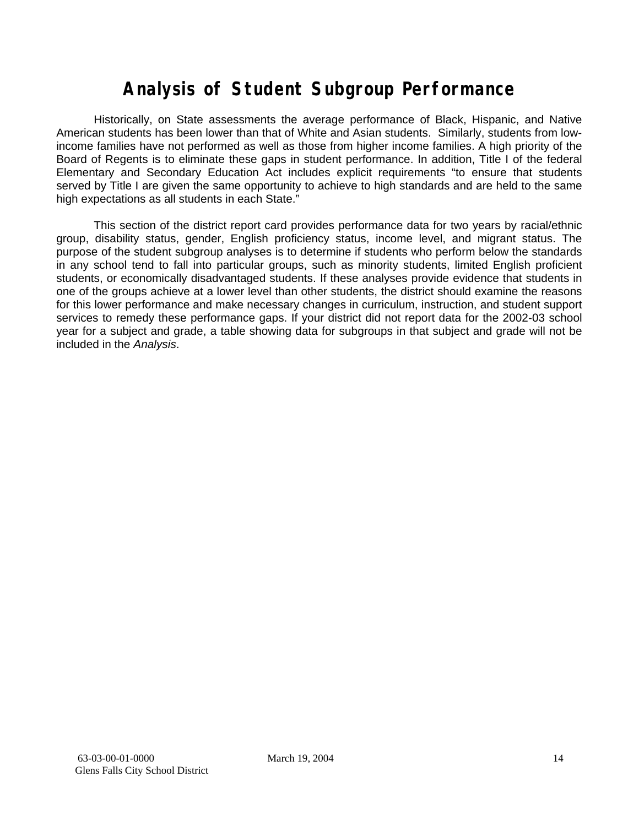# **Analysis of Student Subgroup Performance**

Historically, on State assessments the average performance of Black, Hispanic, and Native American students has been lower than that of White and Asian students. Similarly, students from lowincome families have not performed as well as those from higher income families. A high priority of the Board of Regents is to eliminate these gaps in student performance. In addition, Title I of the federal Elementary and Secondary Education Act includes explicit requirements "to ensure that students served by Title I are given the same opportunity to achieve to high standards and are held to the same high expectations as all students in each State."

This section of the district report card provides performance data for two years by racial/ethnic group, disability status, gender, English proficiency status, income level, and migrant status. The purpose of the student subgroup analyses is to determine if students who perform below the standards in any school tend to fall into particular groups, such as minority students, limited English proficient students, or economically disadvantaged students. If these analyses provide evidence that students in one of the groups achieve at a lower level than other students, the district should examine the reasons for this lower performance and make necessary changes in curriculum, instruction, and student support services to remedy these performance gaps. If your district did not report data for the 2002-03 school year for a subject and grade, a table showing data for subgroups in that subject and grade will not be included in the *Analysis*.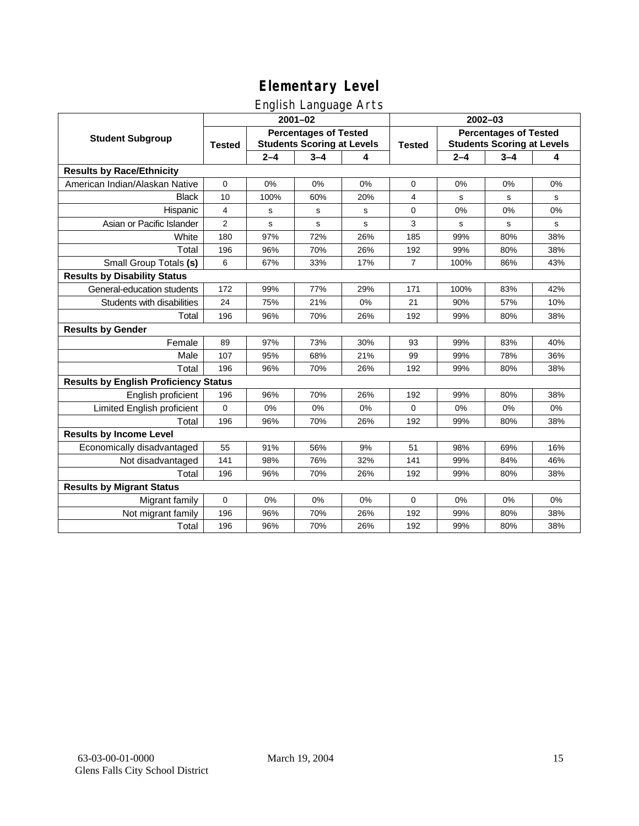# English Language Arts

|                                              |                                                                                    |         | ັ<br>$2001 - 02$ |               | 2002-03                                                           |         |         |     |
|----------------------------------------------|------------------------------------------------------------------------------------|---------|------------------|---------------|-------------------------------------------------------------------|---------|---------|-----|
| <b>Student Subgroup</b>                      | <b>Percentages of Tested</b><br><b>Students Scoring at Levels</b><br><b>Tested</b> |         |                  | <b>Tested</b> | <b>Percentages of Tested</b><br><b>Students Scoring at Levels</b> |         |         |     |
|                                              |                                                                                    | $2 - 4$ | $3 - 4$          | 4             |                                                                   | $2 - 4$ | $3 - 4$ | 4   |
| <b>Results by Race/Ethnicity</b>             |                                                                                    |         |                  |               |                                                                   |         |         |     |
| American Indian/Alaskan Native               | $\mathbf 0$                                                                        | 0%      | 0%               | 0%            | 0                                                                 | 0%      | 0%      | 0%  |
| <b>Black</b>                                 | 10                                                                                 | 100%    | 60%              | 20%           | 4                                                                 | s       | s       | s   |
| Hispanic                                     | 4                                                                                  | s       | s                | s             | $\mathbf 0$                                                       | 0%      | 0%      | 0%  |
| Asian or Pacific Islander                    | $\overline{2}$                                                                     | s       | $\mathbf s$      | s             | 3                                                                 | s       | s       | s   |
| White                                        | 180                                                                                | 97%     | 72%              | 26%           | 185                                                               | 99%     | 80%     | 38% |
| Total                                        | 196                                                                                | 96%     | 70%              | 26%           | 192                                                               | 99%     | 80%     | 38% |
| Small Group Totals (s)                       | 6                                                                                  | 67%     | 33%              | 17%           | $\overline{7}$                                                    | 100%    | 86%     | 43% |
| <b>Results by Disability Status</b>          |                                                                                    |         |                  |               |                                                                   |         |         |     |
| General-education students                   | 172                                                                                | 99%     | 77%              | 29%           | 171                                                               | 100%    | 83%     | 42% |
| Students with disabilities                   | 24                                                                                 | 75%     | 21%              | 0%            | 21                                                                | 90%     | 57%     | 10% |
| Total                                        | 196                                                                                | 96%     | 70%              | 26%           | 192                                                               | 99%     | 80%     | 38% |
| <b>Results by Gender</b>                     |                                                                                    |         |                  |               |                                                                   |         |         |     |
| Female                                       | 89                                                                                 | 97%     | 73%              | 30%           | 93                                                                | 99%     | 83%     | 40% |
| Male                                         | 107                                                                                | 95%     | 68%              | 21%           | 99                                                                | 99%     | 78%     | 36% |
| Total                                        | 196                                                                                | 96%     | 70%              | 26%           | 192                                                               | 99%     | 80%     | 38% |
| <b>Results by English Proficiency Status</b> |                                                                                    |         |                  |               |                                                                   |         |         |     |
| English proficient                           | 196                                                                                | 96%     | 70%              | 26%           | 192                                                               | 99%     | 80%     | 38% |
| Limited English proficient                   | 0                                                                                  | 0%      | 0%               | 0%            | 0                                                                 | 0%      | 0%      | 0%  |
| Total                                        | 196                                                                                | 96%     | 70%              | 26%           | 192                                                               | 99%     | 80%     | 38% |
| <b>Results by Income Level</b>               |                                                                                    |         |                  |               |                                                                   |         |         |     |
| Economically disadvantaged                   | 55                                                                                 | 91%     | 56%              | 9%            | 51                                                                | 98%     | 69%     | 16% |
| Not disadvantaged                            | 141                                                                                | 98%     | 76%              | 32%           | 141                                                               | 99%     | 84%     | 46% |
| Total                                        | 196                                                                                | 96%     | 70%              | 26%           | 192                                                               | 99%     | 80%     | 38% |
| <b>Results by Migrant Status</b>             |                                                                                    |         |                  |               |                                                                   |         |         |     |
| Migrant family                               | $\mathbf 0$                                                                        | 0%      | 0%               | 0%            | 0                                                                 | 0%      | 0%      | 0%  |
| Not migrant family                           | 196                                                                                | 96%     | 70%              | 26%           | 192                                                               | 99%     | 80%     | 38% |
| Total                                        | 196                                                                                | 96%     | 70%              | 26%           | 192                                                               | 99%     | 80%     | 38% |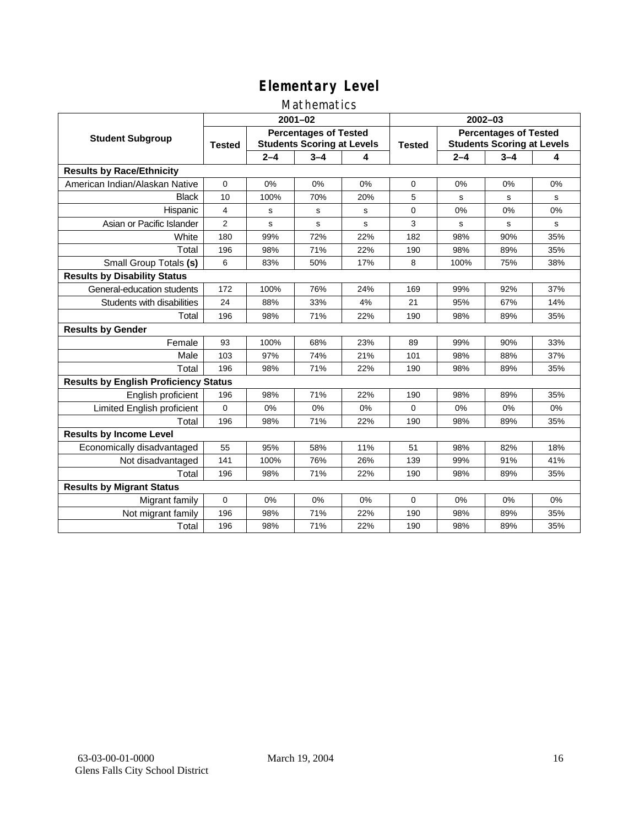### Mathematics

|                                              |                                                                                    |         | $2001 - 02$ |               |                                                                   | $2002 - 03$ |         |     |  |
|----------------------------------------------|------------------------------------------------------------------------------------|---------|-------------|---------------|-------------------------------------------------------------------|-------------|---------|-----|--|
| <b>Student Subgroup</b>                      | <b>Percentages of Tested</b><br><b>Students Scoring at Levels</b><br><b>Tested</b> |         |             | <b>Tested</b> | <b>Percentages of Tested</b><br><b>Students Scoring at Levels</b> |             |         |     |  |
|                                              |                                                                                    | $2 - 4$ | $3 - 4$     | 4             |                                                                   | $2 - 4$     | $3 - 4$ | 4   |  |
| <b>Results by Race/Ethnicity</b>             |                                                                                    |         |             |               |                                                                   |             |         |     |  |
| American Indian/Alaskan Native               | $\mathbf 0$                                                                        | 0%      | 0%          | 0%            | $\mathbf 0$                                                       | 0%          | 0%      | 0%  |  |
| <b>Black</b>                                 | 10                                                                                 | 100%    | 70%         | 20%           | 5                                                                 | s           | s       | s   |  |
| Hispanic                                     | 4                                                                                  | s       | s           | s             | $\Omega$                                                          | 0%          | 0%      | 0%  |  |
| Asian or Pacific Islander                    | $\overline{2}$                                                                     | s       | $\mathbf s$ | s             | 3                                                                 | s           | s       | s   |  |
| White                                        | 180                                                                                | 99%     | 72%         | 22%           | 182                                                               | 98%         | 90%     | 35% |  |
| Total                                        | 196                                                                                | 98%     | 71%         | 22%           | 190                                                               | 98%         | 89%     | 35% |  |
| Small Group Totals (s)                       | 6                                                                                  | 83%     | 50%         | 17%           | 8                                                                 | 100%        | 75%     | 38% |  |
| <b>Results by Disability Status</b>          |                                                                                    |         |             |               |                                                                   |             |         |     |  |
| General-education students                   | 172                                                                                | 100%    | 76%         | 24%           | 169                                                               | 99%         | 92%     | 37% |  |
| Students with disabilities                   | 24                                                                                 | 88%     | 33%         | 4%            | 21                                                                | 95%         | 67%     | 14% |  |
| Total                                        | 196                                                                                | 98%     | 71%         | 22%           | 190                                                               | 98%         | 89%     | 35% |  |
| <b>Results by Gender</b>                     |                                                                                    |         |             |               |                                                                   |             |         |     |  |
| Female                                       | 93                                                                                 | 100%    | 68%         | 23%           | 89                                                                | 99%         | 90%     | 33% |  |
| Male                                         | 103                                                                                | 97%     | 74%         | 21%           | 101                                                               | 98%         | 88%     | 37% |  |
| Total                                        | 196                                                                                | 98%     | 71%         | 22%           | 190                                                               | 98%         | 89%     | 35% |  |
| <b>Results by English Proficiency Status</b> |                                                                                    |         |             |               |                                                                   |             |         |     |  |
| English proficient                           | 196                                                                                | 98%     | 71%         | 22%           | 190                                                               | 98%         | 89%     | 35% |  |
| Limited English proficient                   | 0                                                                                  | 0%      | 0%          | 0%            | $\Omega$                                                          | 0%          | 0%      | 0%  |  |
| Total                                        | 196                                                                                | 98%     | 71%         | 22%           | 190                                                               | 98%         | 89%     | 35% |  |
| <b>Results by Income Level</b>               |                                                                                    |         |             |               |                                                                   |             |         |     |  |
| Economically disadvantaged                   | 55                                                                                 | 95%     | 58%         | 11%           | 51                                                                | 98%         | 82%     | 18% |  |
| Not disadvantaged                            | 141                                                                                | 100%    | 76%         | 26%           | 139                                                               | 99%         | 91%     | 41% |  |
| Total                                        | 196                                                                                | 98%     | 71%         | 22%           | 190                                                               | 98%         | 89%     | 35% |  |
| <b>Results by Migrant Status</b>             |                                                                                    |         |             |               |                                                                   |             |         |     |  |
| Migrant family                               | 0                                                                                  | 0%      | 0%          | 0%            | $\mathbf 0$                                                       | 0%          | 0%      | 0%  |  |
| Not migrant family                           | 196                                                                                | 98%     | 71%         | 22%           | 190                                                               | 98%         | 89%     | 35% |  |
| Total                                        | 196                                                                                | 98%     | 71%         | 22%           | 190                                                               | 98%         | 89%     | 35% |  |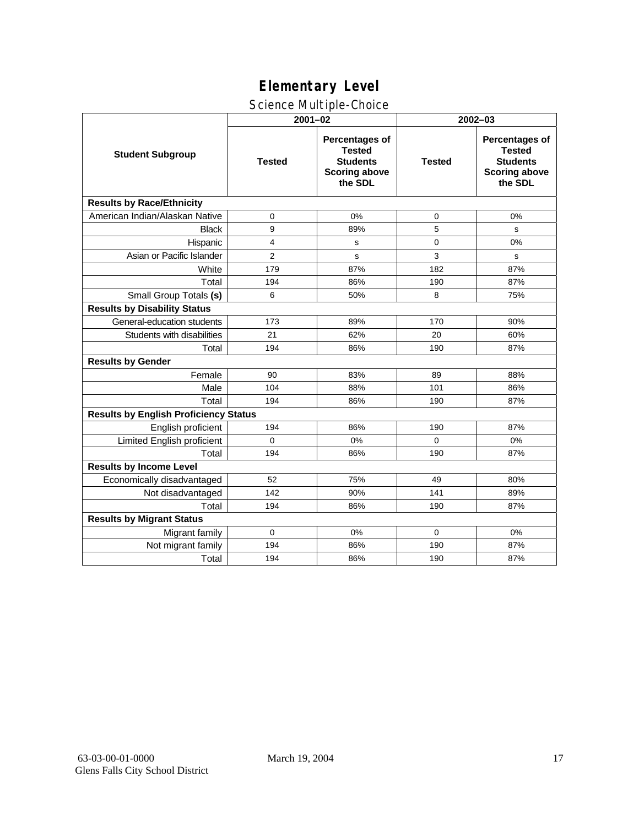### Science Multiple-Choice

|                                              | $2001 - 02$    |                                                                                              | 2002-03       |                                                                                              |  |  |
|----------------------------------------------|----------------|----------------------------------------------------------------------------------------------|---------------|----------------------------------------------------------------------------------------------|--|--|
| <b>Student Subgroup</b>                      | <b>Tested</b>  | <b>Percentages of</b><br><b>Tested</b><br><b>Students</b><br><b>Scoring above</b><br>the SDL | <b>Tested</b> | <b>Percentages of</b><br><b>Tested</b><br><b>Students</b><br><b>Scoring above</b><br>the SDL |  |  |
| <b>Results by Race/Ethnicity</b>             |                |                                                                                              |               |                                                                                              |  |  |
| American Indian/Alaskan Native               | 0              | 0%                                                                                           | 0             | 0%                                                                                           |  |  |
| <b>Black</b>                                 | 9              | 89%                                                                                          | 5             | s                                                                                            |  |  |
| Hispanic                                     | 4              | s                                                                                            | $\mathbf 0$   | 0%                                                                                           |  |  |
| Asian or Pacific Islander                    | $\overline{2}$ | s                                                                                            | 3             | s                                                                                            |  |  |
| White                                        | 179            | 87%                                                                                          | 182           | 87%                                                                                          |  |  |
| Total                                        | 194            | 86%                                                                                          | 190           | 87%                                                                                          |  |  |
| Small Group Totals (s)                       | 6              | 50%                                                                                          | 8             | 75%                                                                                          |  |  |
| <b>Results by Disability Status</b>          |                |                                                                                              |               |                                                                                              |  |  |
| General-education students                   | 173            | 89%                                                                                          | 170           | 90%                                                                                          |  |  |
| Students with disabilities                   | 21             | 62%                                                                                          | 20            | 60%                                                                                          |  |  |
| Total                                        | 194            | 86%                                                                                          | 190           | 87%                                                                                          |  |  |
| <b>Results by Gender</b>                     |                |                                                                                              |               |                                                                                              |  |  |
| Female                                       | 90             | 83%                                                                                          | 89            | 88%                                                                                          |  |  |
| Male                                         | 104            | 88%                                                                                          | 101           | 86%                                                                                          |  |  |
| Total                                        | 194            | 86%                                                                                          | 190           | 87%                                                                                          |  |  |
| <b>Results by English Proficiency Status</b> |                |                                                                                              |               |                                                                                              |  |  |
| English proficient                           | 194            | 86%                                                                                          | 190           | 87%                                                                                          |  |  |
| Limited English proficient                   | $\Omega$       | 0%                                                                                           | $\Omega$      | 0%                                                                                           |  |  |
| Total                                        | 194            | 86%                                                                                          | 190           | 87%                                                                                          |  |  |
| <b>Results by Income Level</b>               |                |                                                                                              |               |                                                                                              |  |  |
| Economically disadvantaged                   | 52             | 75%                                                                                          | 49            | 80%                                                                                          |  |  |
| Not disadvantaged                            | 142            | 90%                                                                                          | 141           | 89%                                                                                          |  |  |
| Total                                        | 194            | 86%                                                                                          | 190           | 87%                                                                                          |  |  |
| <b>Results by Migrant Status</b>             |                |                                                                                              |               |                                                                                              |  |  |
| Migrant family                               | $\Omega$       | 0%                                                                                           | $\Omega$      | 0%                                                                                           |  |  |
| Not migrant family                           | 194            | 86%                                                                                          | 190           | 87%                                                                                          |  |  |
| Total                                        | 194            | 86%                                                                                          | 190           | 87%                                                                                          |  |  |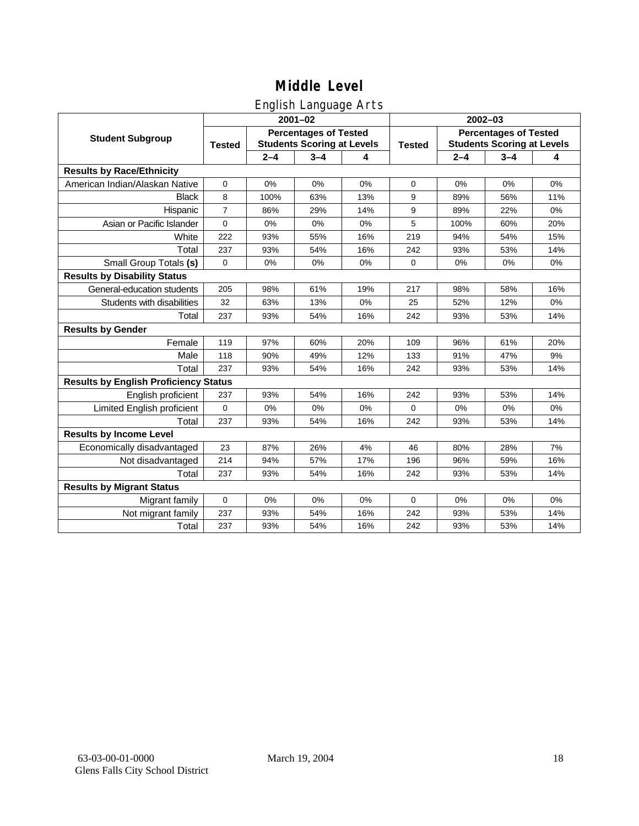## English Language Arts

|                                              | $2001 - 02$                                                                        |         |         |               | 2002-03                                                           |         |         |     |
|----------------------------------------------|------------------------------------------------------------------------------------|---------|---------|---------------|-------------------------------------------------------------------|---------|---------|-----|
| <b>Student Subgroup</b>                      | <b>Percentages of Tested</b><br><b>Students Scoring at Levels</b><br><b>Tested</b> |         |         | <b>Tested</b> | <b>Percentages of Tested</b><br><b>Students Scoring at Levels</b> |         |         |     |
|                                              |                                                                                    | $2 - 4$ | $3 - 4$ | 4             |                                                                   | $2 - 4$ | $3 - 4$ | 4   |
| <b>Results by Race/Ethnicity</b>             |                                                                                    |         |         |               |                                                                   |         |         |     |
| American Indian/Alaskan Native               | $\mathbf 0$                                                                        | 0%      | 0%      | 0%            | $\mathbf 0$                                                       | 0%      | 0%      | 0%  |
| <b>Black</b>                                 | 8                                                                                  | 100%    | 63%     | 13%           | 9                                                                 | 89%     | 56%     | 11% |
| Hispanic                                     | $\overline{7}$                                                                     | 86%     | 29%     | 14%           | 9                                                                 | 89%     | 22%     | 0%  |
| Asian or Pacific Islander                    | 0                                                                                  | 0%      | 0%      | 0%            | 5                                                                 | 100%    | 60%     | 20% |
| White                                        | 222                                                                                | 93%     | 55%     | 16%           | 219                                                               | 94%     | 54%     | 15% |
| Total                                        | 237                                                                                | 93%     | 54%     | 16%           | 242                                                               | 93%     | 53%     | 14% |
| Small Group Totals (s)                       | $\mathbf 0$                                                                        | 0%      | 0%      | 0%            | $\Omega$                                                          | 0%      | 0%      | 0%  |
| <b>Results by Disability Status</b>          |                                                                                    |         |         |               |                                                                   |         |         |     |
| General-education students                   | 205                                                                                | 98%     | 61%     | 19%           | 217                                                               | 98%     | 58%     | 16% |
| Students with disabilities                   | 32                                                                                 | 63%     | 13%     | 0%            | 25                                                                | 52%     | 12%     | 0%  |
| Total                                        | 237                                                                                | 93%     | 54%     | 16%           | 242                                                               | 93%     | 53%     | 14% |
| <b>Results by Gender</b>                     |                                                                                    |         |         |               |                                                                   |         |         |     |
| Female                                       | 119                                                                                | 97%     | 60%     | 20%           | 109                                                               | 96%     | 61%     | 20% |
| Male                                         | 118                                                                                | 90%     | 49%     | 12%           | 133                                                               | 91%     | 47%     | 9%  |
| Total                                        | 237                                                                                | 93%     | 54%     | 16%           | 242                                                               | 93%     | 53%     | 14% |
| <b>Results by English Proficiency Status</b> |                                                                                    |         |         |               |                                                                   |         |         |     |
| English proficient                           | 237                                                                                | 93%     | 54%     | 16%           | 242                                                               | 93%     | 53%     | 14% |
| Limited English proficient                   | $\mathbf 0$                                                                        | 0%      | 0%      | 0%            | $\Omega$                                                          | 0%      | 0%      | 0%  |
| Total                                        | 237                                                                                | 93%     | 54%     | 16%           | 242                                                               | 93%     | 53%     | 14% |
| <b>Results by Income Level</b>               |                                                                                    |         |         |               |                                                                   |         |         |     |
| Economically disadvantaged                   | 23                                                                                 | 87%     | 26%     | 4%            | 46                                                                | 80%     | 28%     | 7%  |
| Not disadvantaged                            | 214                                                                                | 94%     | 57%     | 17%           | 196                                                               | 96%     | 59%     | 16% |
| Total                                        | 237                                                                                | 93%     | 54%     | 16%           | 242                                                               | 93%     | 53%     | 14% |
| <b>Results by Migrant Status</b>             |                                                                                    |         |         |               |                                                                   |         |         |     |
| Migrant family                               | $\mathbf 0$                                                                        | 0%      | 0%      | 0%            | 0                                                                 | 0%      | 0%      | 0%  |
| Not migrant family                           | 237                                                                                | 93%     | 54%     | 16%           | 242                                                               | 93%     | 53%     | 14% |
| Total                                        | 237                                                                                | 93%     | 54%     | 16%           | 242                                                               | 93%     | 53%     | 14% |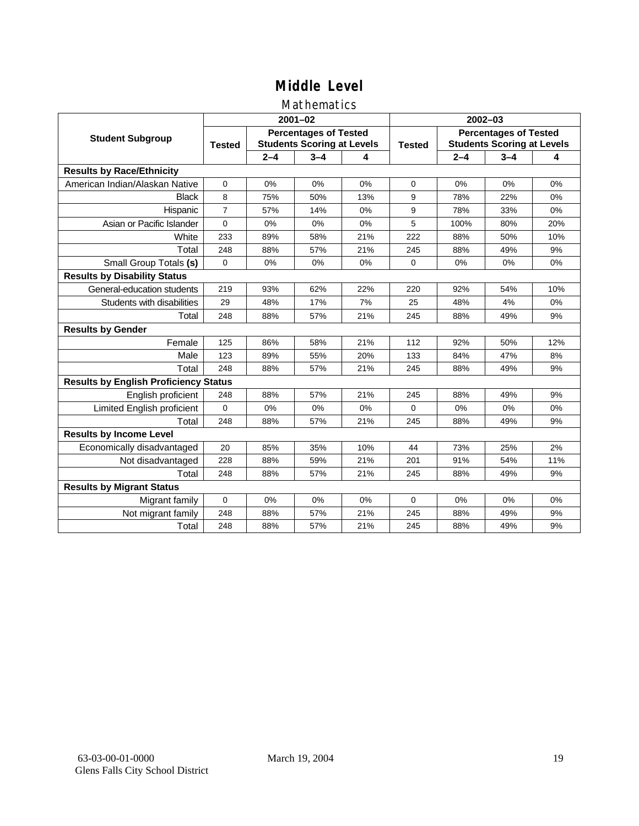### Mathematics

|                                              | $2001 - 02$                                                                        |         |         |               | $2002 - 03$                                                       |         |         |     |
|----------------------------------------------|------------------------------------------------------------------------------------|---------|---------|---------------|-------------------------------------------------------------------|---------|---------|-----|
| <b>Student Subgroup</b>                      | <b>Percentages of Tested</b><br><b>Students Scoring at Levels</b><br><b>Tested</b> |         |         | <b>Tested</b> | <b>Percentages of Tested</b><br><b>Students Scoring at Levels</b> |         |         |     |
|                                              |                                                                                    | $2 - 4$ | $3 - 4$ | 4             |                                                                   | $2 - 4$ | $3 - 4$ | 4   |
| <b>Results by Race/Ethnicity</b>             |                                                                                    |         |         |               |                                                                   |         |         |     |
| American Indian/Alaskan Native               | $\mathbf 0$                                                                        | 0%      | 0%      | 0%            | $\Omega$                                                          | 0%      | 0%      | 0%  |
| <b>Black</b>                                 | 8                                                                                  | 75%     | 50%     | 13%           | 9                                                                 | 78%     | 22%     | 0%  |
| Hispanic                                     | $\overline{7}$                                                                     | 57%     | 14%     | 0%            | 9                                                                 | 78%     | 33%     | 0%  |
| Asian or Pacific Islander                    | $\mathbf 0$                                                                        | 0%      | 0%      | 0%            | 5                                                                 | 100%    | 80%     | 20% |
| White                                        | 233                                                                                | 89%     | 58%     | 21%           | 222                                                               | 88%     | 50%     | 10% |
| Total                                        | 248                                                                                | 88%     | 57%     | 21%           | 245                                                               | 88%     | 49%     | 9%  |
| Small Group Totals (s)                       | $\mathbf 0$                                                                        | 0%      | 0%      | 0%            | 0                                                                 | 0%      | 0%      | 0%  |
| <b>Results by Disability Status</b>          |                                                                                    |         |         |               |                                                                   |         |         |     |
| General-education students                   | 219                                                                                | 93%     | 62%     | 22%           | 220                                                               | 92%     | 54%     | 10% |
| Students with disabilities                   | 29                                                                                 | 48%     | 17%     | 7%            | 25                                                                | 48%     | 4%      | 0%  |
| Total                                        | 248                                                                                | 88%     | 57%     | 21%           | 245                                                               | 88%     | 49%     | 9%  |
| <b>Results by Gender</b>                     |                                                                                    |         |         |               |                                                                   |         |         |     |
| Female                                       | 125                                                                                | 86%     | 58%     | 21%           | 112                                                               | 92%     | 50%     | 12% |
| Male                                         | 123                                                                                | 89%     | 55%     | 20%           | 133                                                               | 84%     | 47%     | 8%  |
| Total                                        | 248                                                                                | 88%     | 57%     | 21%           | 245                                                               | 88%     | 49%     | 9%  |
| <b>Results by English Proficiency Status</b> |                                                                                    |         |         |               |                                                                   |         |         |     |
| English proficient                           | 248                                                                                | 88%     | 57%     | 21%           | 245                                                               | 88%     | 49%     | 9%  |
| Limited English proficient                   | 0                                                                                  | 0%      | 0%      | 0%            | $\Omega$                                                          | 0%      | 0%      | 0%  |
| Total                                        | 248                                                                                | 88%     | 57%     | 21%           | 245                                                               | 88%     | 49%     | 9%  |
| <b>Results by Income Level</b>               |                                                                                    |         |         |               |                                                                   |         |         |     |
| Economically disadvantaged                   | 20                                                                                 | 85%     | 35%     | 10%           | 44                                                                | 73%     | 25%     | 2%  |
| Not disadvantaged                            | 228                                                                                | 88%     | 59%     | 21%           | 201                                                               | 91%     | 54%     | 11% |
| Total                                        | 248                                                                                | 88%     | 57%     | 21%           | 245                                                               | 88%     | 49%     | 9%  |
| <b>Results by Migrant Status</b>             |                                                                                    |         |         |               |                                                                   |         |         |     |
| Migrant family                               | 0                                                                                  | 0%      | 0%      | 0%            | $\Omega$                                                          | 0%      | 0%      | 0%  |
| Not migrant family                           | 248                                                                                | 88%     | 57%     | 21%           | 245                                                               | 88%     | 49%     | 9%  |
| Total                                        | 248                                                                                | 88%     | 57%     | 21%           | 245                                                               | 88%     | 49%     | 9%  |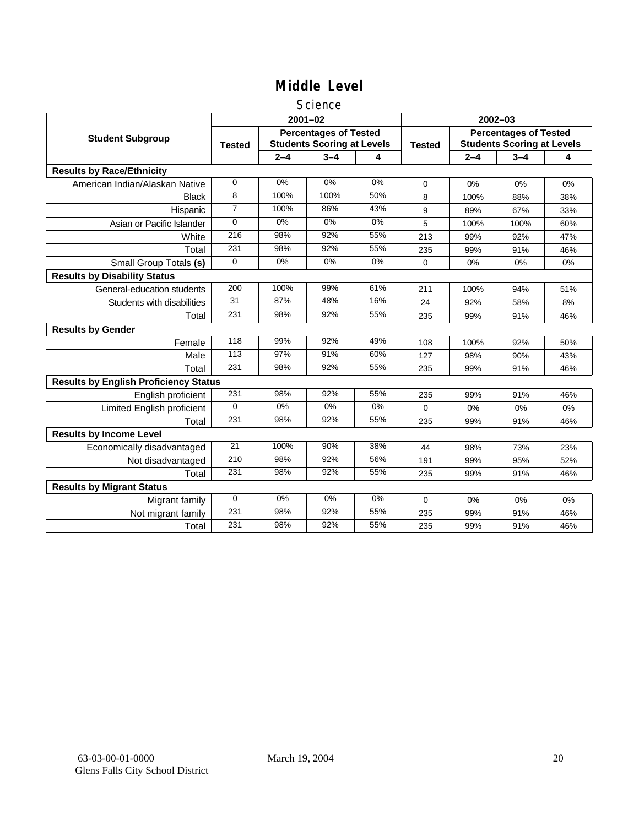#### Science

|                                              |                  |         | $2001 - 02$                                                       |       | $2002 - 03$   |                                                                   |         |     |  |
|----------------------------------------------|------------------|---------|-------------------------------------------------------------------|-------|---------------|-------------------------------------------------------------------|---------|-----|--|
| <b>Student Subgroup</b>                      | <b>Tested</b>    |         | <b>Percentages of Tested</b><br><b>Students Scoring at Levels</b> |       | <b>Tested</b> | <b>Percentages of Tested</b><br><b>Students Scoring at Levels</b> |         |     |  |
|                                              |                  | $2 - 4$ | $3 - 4$                                                           | 4     |               | $2 - 4$                                                           | $3 - 4$ | 4   |  |
| <b>Results by Race/Ethnicity</b>             |                  |         |                                                                   |       |               |                                                                   |         |     |  |
| American Indian/Alaskan Native               | 0                | 0%      | 0%                                                                | 0%    | $\Omega$      | 0%                                                                | 0%      | 0%  |  |
| <b>Black</b>                                 | 8                | 100%    | 100%                                                              | 50%   | 8             | 100%                                                              | 88%     | 38% |  |
| Hispanic                                     | $\overline{7}$   | 100%    | 86%                                                               | 43%   | 9             | 89%                                                               | 67%     | 33% |  |
| Asian or Pacific Islander                    | $\Omega$         | 0%      | 0%                                                                | $0\%$ | 5             | 100%                                                              | 100%    | 60% |  |
| White                                        | $\overline{216}$ | 98%     | 92%                                                               | 55%   | 213           | 99%                                                               | 92%     | 47% |  |
| Total                                        | 231              | 98%     | 92%                                                               | 55%   | 235           | 99%                                                               | 91%     | 46% |  |
| Small Group Totals (s)                       | $\Omega$         | 0%      | 0%                                                                | 0%    | 0             | 0%                                                                | 0%      | 0%  |  |
| <b>Results by Disability Status</b>          |                  |         |                                                                   |       |               |                                                                   |         |     |  |
| General-education students                   | 200              | 100%    | 99%                                                               | 61%   | 211           | 100%                                                              | 94%     | 51% |  |
| Students with disabilities                   | 31               | 87%     | 48%                                                               | 16%   | 24            | 92%                                                               | 58%     | 8%  |  |
| Total                                        | 231              | 98%     | 92%                                                               | 55%   | 235           | 99%                                                               | 91%     | 46% |  |
| <b>Results by Gender</b>                     |                  |         |                                                                   |       |               |                                                                   |         |     |  |
| Female                                       | $\overline{118}$ | 99%     | 92%                                                               | 49%   | 108           | 100%                                                              | 92%     | 50% |  |
| Male                                         | 113              | 97%     | 91%                                                               | 60%   | 127           | 98%                                                               | 90%     | 43% |  |
| Total                                        | 231              | 98%     | 92%                                                               | 55%   | 235           | 99%                                                               | 91%     | 46% |  |
| <b>Results by English Proficiency Status</b> |                  |         |                                                                   |       |               |                                                                   |         |     |  |
| English proficient                           | 231              | 98%     | 92%                                                               | 55%   | 235           | 99%                                                               | 91%     | 46% |  |
| <b>Limited English proficient</b>            | $\Omega$         | $0\%$   | 0%                                                                | $0\%$ | 0             | 0%                                                                | 0%      | 0%  |  |
| Total                                        | 231              | 98%     | 92%                                                               | 55%   | 235           | 99%                                                               | 91%     | 46% |  |
| <b>Results by Income Level</b>               |                  |         |                                                                   |       |               |                                                                   |         |     |  |
| Economically disadvantaged                   | 21               | 100%    | 90%                                                               | 38%   | 44            | 98%                                                               | 73%     | 23% |  |
| Not disadvantaged                            | 210              | 98%     | 92%                                                               | 56%   | 191           | 99%                                                               | 95%     | 52% |  |
| Total                                        | 231              | 98%     | 92%                                                               | 55%   | 235           | 99%                                                               | 91%     | 46% |  |
| <b>Results by Migrant Status</b>             |                  |         |                                                                   |       |               |                                                                   |         |     |  |
| Migrant family                               | $\mathbf 0$      | 0%      | 0%                                                                | 0%    | 0             | 0%                                                                | 0%      | 0%  |  |
| Not migrant family                           | 231              | 98%     | 92%                                                               | 55%   | 235           | 99%                                                               | 91%     | 46% |  |
| Total                                        | 231              | 98%     | 92%                                                               | 55%   | 235           | 99%                                                               | 91%     | 46% |  |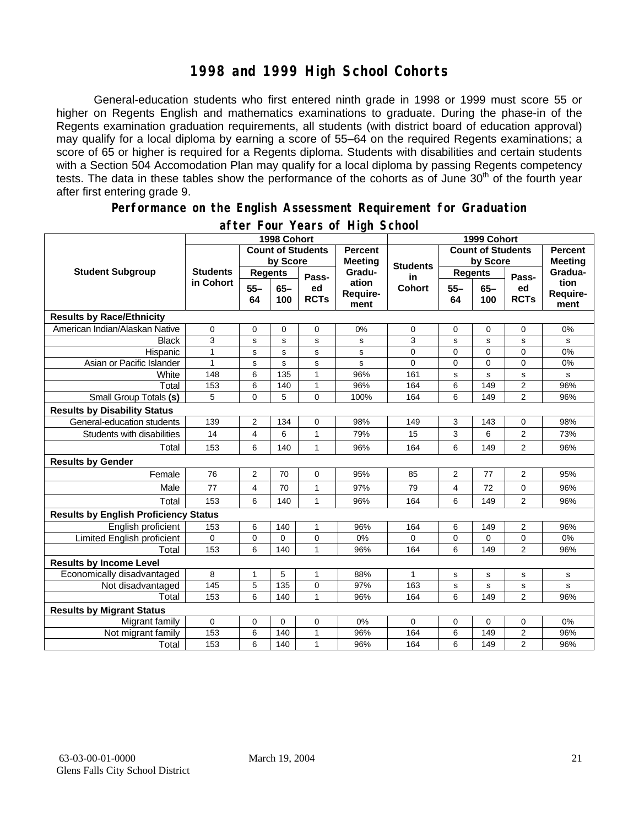## **1998 and 1999 High School Cohorts**

General-education students who first entered ninth grade in 1998 or 1999 must score 55 or higher on Regents English and mathematics examinations to graduate. During the phase-in of the Regents examination graduation requirements, all students (with district board of education approval) may qualify for a local diploma by earning a score of 55–64 on the required Regents examinations; a score of 65 or higher is required for a Regents diploma. Students with disabilities and certain students with a Section 504 Accomodation Plan may qualify for a local diploma by passing Regents competency tests. The data in these tables show the performance of the cohorts as of June 30<sup>th</sup> of the fourth year after first entering grade 9.

#### **Performance on the English Assessment Requirement for Graduation**

|                                              | 1998 Cohort                  |                          |              |                                  |                           | 1999 Cohort              |                |                                  |                   |                          |
|----------------------------------------------|------------------------------|--------------------------|--------------|----------------------------------|---------------------------|--------------------------|----------------|----------------------------------|-------------------|--------------------------|
|                                              |                              | <b>Count of Students</b> |              | <b>Percent</b><br><b>Meeting</b> |                           | <b>Count of Students</b> |                | <b>Percent</b><br><b>Meeting</b> |                   |                          |
| <b>Student Subgroup</b>                      | <b>Students</b><br>in Cohort | by Score                 |              |                                  | <b>Students</b>           | by Score                 |                |                                  |                   |                          |
|                                              |                              | <b>Regents</b>           |              | Pass-                            | Gradu-                    | in                       | <b>Regents</b> |                                  | Pass-             | Gradua-                  |
|                                              |                              | $55 -$<br>64             | $65-$<br>100 | ed<br><b>RCTs</b>                | ation<br>Require-<br>ment | Cohort                   | $55 -$<br>64   | $65 -$<br>100                    | ed<br><b>RCTs</b> | tion<br>Require-<br>ment |
| <b>Results by Race/Ethnicity</b>             |                              |                          |              |                                  |                           |                          |                |                                  |                   |                          |
| American Indian/Alaskan Native               | 0                            | 0                        | 0            | $\mathbf 0$                      | 0%                        | 0                        | 0              | 0                                | 0                 | 0%                       |
| <b>Black</b>                                 | 3                            | s                        | s            | s                                | s                         | 3                        | s              | s                                | s                 | s                        |
| Hispanic                                     | $\overline{1}$               | s                        | s            | s                                | s                         | 0                        | $\mathbf 0$    | $\Omega$                         | $\mathbf 0$       | 0%                       |
| Asian or Pacific Islander                    | $\mathbf{1}$                 | $\mathbf s$              | s            | s                                | s                         | $\Omega$                 | $\Omega$       | $\Omega$                         | $\overline{0}$    | 0%                       |
| White                                        | 148                          | 6                        | 135          | $\mathbf{1}$                     | 96%                       | 161                      | s              | s                                | s                 | s                        |
| Total                                        | 153                          | 6                        | 140          | $\mathbf{1}$                     | 96%                       | 164                      | 6              | 149                              | 2                 | 96%                      |
| Small Group Totals (s)                       | 5                            | 0                        | 5            | $\Omega$                         | 100%                      | 164                      | 6              | 149                              | $\overline{2}$    | 96%                      |
| <b>Results by Disability Status</b>          |                              |                          |              |                                  |                           |                          |                |                                  |                   |                          |
| General-education students                   | 139                          | $\overline{2}$           | 134          | 0                                | 98%                       | 149                      | 3              | 143                              | 0                 | 98%                      |
| Students with disabilities                   | 14                           | 4                        | 6            | $\mathbf{1}$                     | 79%                       | 15                       | 3              | 6                                | $\overline{2}$    | 73%                      |
| Total                                        | 153                          | 6                        | 140          | $\mathbf{1}$                     | 96%                       | 164                      | 6              | 149                              | $\overline{2}$    | 96%                      |
| <b>Results by Gender</b>                     |                              |                          |              |                                  |                           |                          |                |                                  |                   |                          |
| Female                                       | 76                           | $\overline{2}$           | 70           | $\Omega$                         | 95%                       | 85                       | 2              | 77                               | $\overline{2}$    | 95%                      |
| Male                                         | 77                           | 4                        | 70           | $\mathbf{1}$                     | 97%                       | 79                       | 4              | 72                               | 0                 | 96%                      |
| Total                                        | 153                          | 6                        | 140          | $\mathbf{1}$                     | 96%                       | 164                      | 6              | 149                              | $\overline{2}$    | 96%                      |
| <b>Results by English Proficiency Status</b> |                              |                          |              |                                  |                           |                          |                |                                  |                   |                          |
| English proficient                           | 153                          | 6                        | 140          | 1                                | 96%                       | 164                      | 6              | 149                              | 2                 | 96%                      |
| Limited English proficient                   | 0                            | 0                        | $\mathbf{0}$ | $\mathbf 0$                      | 0%                        | 0                        | 0              | 0                                | $\mathbf 0$       | 0%                       |
| Total                                        | 153                          | 6                        | 140          | $\mathbf{1}$                     | 96%                       | 164                      | 6              | 149                              | $\overline{2}$    | 96%                      |
| <b>Results by Income Level</b>               |                              |                          |              |                                  |                           |                          |                |                                  |                   |                          |
| Economically disadvantaged                   | 8                            | 1                        | 5            | $\mathbf{1}$                     | 88%                       | 1                        | $\mathbf s$    | s                                | s                 | s                        |
| Not disadvantaged                            | 145                          | 5                        | 135          | 0                                | 97%                       | 163                      | $\mathbf s$    | s                                | s                 | s                        |
| Total                                        | 153                          | 6                        | 140          | $\mathbf{1}$                     | 96%                       | 164                      | 6              | 149                              | $\overline{2}$    | 96%                      |
| <b>Results by Migrant Status</b>             |                              |                          |              |                                  |                           |                          |                |                                  |                   |                          |
| Migrant family                               | 0                            | 0                        | 0            | $\mathbf 0$                      | 0%                        | 0                        | 0              | 0                                | $\mathbf 0$       | 0%                       |
| Not migrant family                           | 153                          | 6                        | 140          | $\mathbf{1}$                     | 96%                       | 164                      | 6              | 149                              | 2                 | 96%                      |
| Total                                        | 153                          | 6                        | 140          | 1                                | 96%                       | 164                      | 6              | 149                              | $\overline{2}$    | 96%                      |

#### **after Four Years of High School**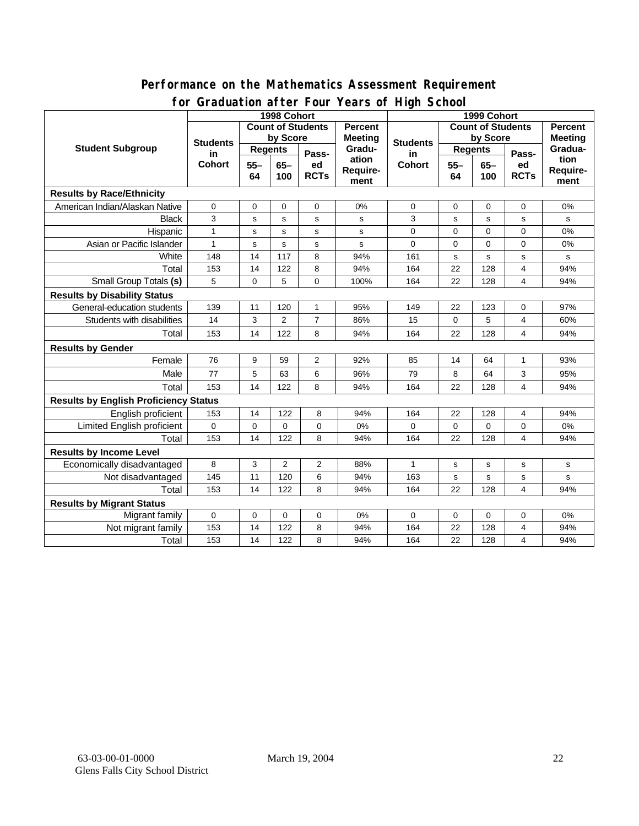#### **Performance on the Mathematics Assessment Requirement for Graduation after Four Years of High School**

| oraaaanon artor roor<br>1998 Cohort          |                          |                |                |                   |                           |                          | Turis of Thyll Sullou<br>1999 Cohort |                |                   |                          |  |
|----------------------------------------------|--------------------------|----------------|----------------|-------------------|---------------------------|--------------------------|--------------------------------------|----------------|-------------------|--------------------------|--|
|                                              | <b>Count of Students</b> |                |                | <b>Percent</b>    |                           | <b>Count of Students</b> |                                      |                | <b>Percent</b>    |                          |  |
| <b>Student Subgroup</b>                      | <b>Students</b>          | by Score       |                | <b>Meeting</b>    |                           | by Score                 |                                      | <b>Meeting</b> |                   |                          |  |
|                                              | in<br><b>Cohort</b>      | <b>Regents</b> |                | Pass-             | Gradu-                    | <b>Students</b><br>in    | <b>Regents</b>                       |                | Pass-             | Gradua-                  |  |
|                                              |                          | $55 -$<br>64   | $65-$<br>100   | ed<br><b>RCTs</b> | ation<br>Require-<br>ment | <b>Cohort</b>            | $55 -$<br>64                         | $65-$<br>100   | ed<br><b>RCTs</b> | tion<br>Require-<br>ment |  |
| <b>Results by Race/Ethnicity</b>             |                          |                |                |                   |                           |                          |                                      |                |                   |                          |  |
| American Indian/Alaskan Native               | 0                        | $\mathbf 0$    | $\mathbf 0$    | $\mathbf 0$       | 0%                        | 0                        | $\mathbf 0$                          | $\mathbf 0$    | $\mathbf 0$       | 0%                       |  |
| <b>Black</b>                                 | 3                        | $\mathbf s$    | s              | $\mathbf s$       | s                         | 3                        | s                                    | $\mathbf s$    | s                 | s                        |  |
| Hispanic                                     | $\mathbf{1}$             | s              | $\mathbf s$    | s                 | s                         | 0                        | $\Omega$                             | $\mathbf 0$    | $\mathbf 0$       | 0%                       |  |
| Asian or Pacific Islander                    | $\mathbf{1}$             | $\mathbf s$    | s              | $\mathbf s$       | s                         | 0                        | $\mathbf 0$                          | 0              | 0                 | 0%                       |  |
| White                                        | 148                      | 14             | 117            | 8                 | 94%                       | 161                      | s                                    | $\mathbf s$    | s                 | s                        |  |
| Total                                        | 153                      | 14             | 122            | 8                 | 94%                       | 164                      | 22                                   | 128            | 4                 | 94%                      |  |
| Small Group Totals (s)                       | 5                        | 0              | 5              | $\mathbf 0$       | 100%                      | 164                      | 22                                   | 128            | 4                 | 94%                      |  |
| <b>Results by Disability Status</b>          |                          |                |                |                   |                           |                          |                                      |                |                   |                          |  |
| General-education students                   | 139                      | 11             | 120            | $\mathbf{1}$      | 95%                       | 149                      | 22                                   | 123            | 0                 | 97%                      |  |
| Students with disabilities                   | 14                       | 3              | $\overline{2}$ | $\overline{7}$    | 86%                       | 15                       | 0                                    | 5              | 4                 | 60%                      |  |
| Total                                        | 153                      | 14             | 122            | 8                 | 94%                       | 164                      | 22                                   | 128            | 4                 | 94%                      |  |
| <b>Results by Gender</b>                     |                          |                |                |                   |                           |                          |                                      |                |                   |                          |  |
| Female                                       | 76                       | 9              | 59             | $\overline{2}$    | 92%                       | 85                       | 14                                   | 64             | 1                 | 93%                      |  |
| Male                                         | 77                       | $\mathbf 5$    | 63             | 6                 | 96%                       | 79                       | 8                                    | 64             | 3                 | 95%                      |  |
| Total                                        | 153                      | 14             | 122            | 8                 | 94%                       | 164                      | 22                                   | 128            | 4                 | 94%                      |  |
| <b>Results by English Proficiency Status</b> |                          |                |                |                   |                           |                          |                                      |                |                   |                          |  |
| English proficient                           | 153                      | 14             | 122            | 8                 | 94%                       | 164                      | 22                                   | 128            | 4                 | 94%                      |  |
| Limited English proficient                   | 0                        | 0              | 0              | 0                 | 0%                        | 0                        | 0                                    | 0              | 0                 | 0%                       |  |
| Total                                        | 153                      | 14             | 122            | 8                 | 94%                       | 164                      | 22                                   | 128            | 4                 | 94%                      |  |
| <b>Results by Income Level</b>               |                          |                |                |                   |                           |                          |                                      |                |                   |                          |  |
| Economically disadvantaged                   | 8                        | 3              | $\overline{2}$ | 2                 | 88%                       | $\mathbf{1}$             | s                                    | s              | s                 | s                        |  |
| Not disadvantaged                            | 145                      | 11             | 120            | 6                 | 94%                       | 163                      | $\mathbf s$                          | $\mathbf s$    | s                 | s                        |  |
| Total                                        | 153                      | 14             | 122            | 8                 | 94%                       | 164                      | 22                                   | 128            | 4                 | 94%                      |  |
| <b>Results by Migrant Status</b>             |                          |                |                |                   |                           |                          |                                      |                |                   |                          |  |
| Migrant family                               | $\mathbf 0$              | $\mathbf 0$    | 0              | 0                 | 0%                        | 0                        | 0                                    | 0              | 0                 | 0%                       |  |
| Not migrant family                           | 153                      | 14             | 122            | 8                 | 94%                       | 164                      | 22                                   | 128            | 4                 | 94%                      |  |
| Total                                        | 153                      | 14             | 122            | 8                 | 94%                       | 164                      | 22                                   | 128            | 4                 | 94%                      |  |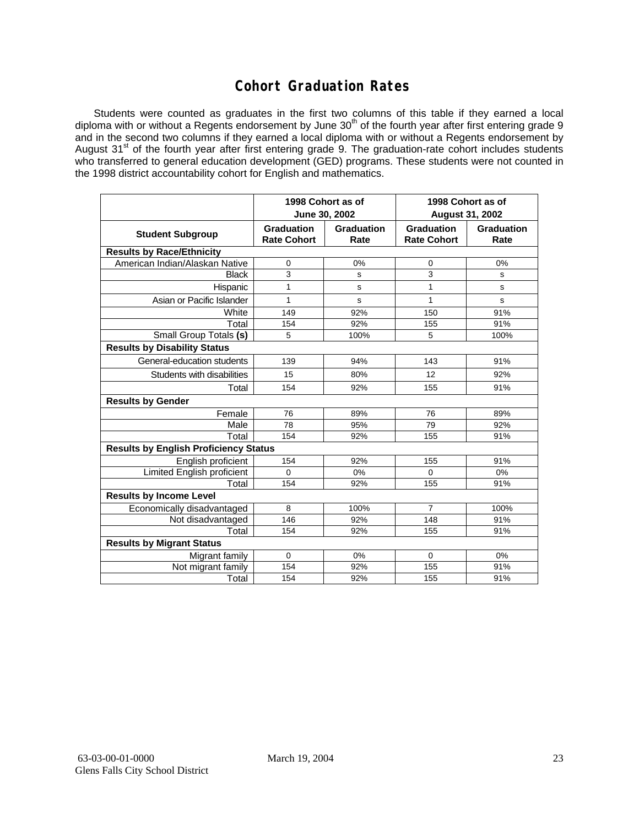## **Cohort Graduation Rates**

Students were counted as graduates in the first two columns of this table if they earned a local diploma with or without a Regents endorsement by June 30<sup>th</sup> of the fourth year after first entering grade 9 and in the second two columns if they earned a local diploma with or without a Regents endorsement by August 31<sup>st</sup> of the fourth year after first entering grade 9. The graduation-rate cohort includes students who transferred to general education development (GED) programs. These students were not counted in the 1998 district accountability cohort for English and mathematics.

|                                              |                                         | 1998 Cohort as of<br>June 30, 2002 | 1998 Cohort as of<br><b>August 31, 2002</b> |                    |  |  |  |  |
|----------------------------------------------|-----------------------------------------|------------------------------------|---------------------------------------------|--------------------|--|--|--|--|
| <b>Student Subgroup</b>                      | <b>Graduation</b><br><b>Rate Cohort</b> | Graduation<br>Rate                 | <b>Graduation</b><br><b>Rate Cohort</b>     | Graduation<br>Rate |  |  |  |  |
| <b>Results by Race/Ethnicity</b>             |                                         |                                    |                                             |                    |  |  |  |  |
| American Indian/Alaskan Native               | 0                                       | 0%                                 | 0                                           | 0%                 |  |  |  |  |
| <b>Black</b>                                 | 3                                       | s                                  | 3                                           | s                  |  |  |  |  |
| Hispanic                                     | 1                                       | s                                  | 1                                           | s                  |  |  |  |  |
| Asian or Pacific Islander                    | 1                                       | s                                  | 1                                           | s                  |  |  |  |  |
| White                                        | 149                                     | 92%                                | 150                                         | 91%                |  |  |  |  |
| Total                                        | 154                                     | 92%                                | 155                                         | 91%                |  |  |  |  |
| Small Group Totals (s)                       | 5                                       | 100%                               | 5                                           | 100%               |  |  |  |  |
| <b>Results by Disability Status</b>          |                                         |                                    |                                             |                    |  |  |  |  |
| General-education students                   | 139                                     | 94%                                | 143                                         | 91%                |  |  |  |  |
| Students with disabilities                   | 15                                      | 80%                                | 12                                          | 92%                |  |  |  |  |
| Total                                        | 154                                     | 92%                                | 155                                         | 91%                |  |  |  |  |
| <b>Results by Gender</b>                     |                                         |                                    |                                             |                    |  |  |  |  |
| Female                                       | 76                                      | 89%                                | 76                                          | 89%                |  |  |  |  |
| Male                                         | 78                                      | 95%                                | 79                                          | 92%                |  |  |  |  |
| Total                                        | 154                                     | 92%                                | 155                                         | 91%                |  |  |  |  |
| <b>Results by English Proficiency Status</b> |                                         |                                    |                                             |                    |  |  |  |  |
| English proficient                           | 154                                     | 92%                                | 155                                         | 91%                |  |  |  |  |
| Limited English proficient                   | $\mathbf 0$                             | 0%                                 | $\mathbf 0$                                 | 0%                 |  |  |  |  |
| Total                                        | 154                                     | 92%                                | 155                                         | 91%                |  |  |  |  |
| <b>Results by Income Level</b>               |                                         |                                    |                                             |                    |  |  |  |  |
| Economically disadvantaged                   | 8                                       | 100%                               | $\overline{7}$                              | 100%               |  |  |  |  |
| Not disadvantaged                            | 146                                     | 92%                                | 148                                         | 91%                |  |  |  |  |
| Total                                        | 154                                     | 92%                                | 155                                         | 91%                |  |  |  |  |
| <b>Results by Migrant Status</b>             |                                         |                                    |                                             |                    |  |  |  |  |
| Migrant family                               | $\mathbf 0$                             | 0%                                 | $\Omega$                                    | 0%                 |  |  |  |  |
| Not migrant family                           | 154                                     | 92%                                | 155                                         | 91%                |  |  |  |  |
| Total                                        | 154                                     | 92%                                | 155                                         | 91%                |  |  |  |  |